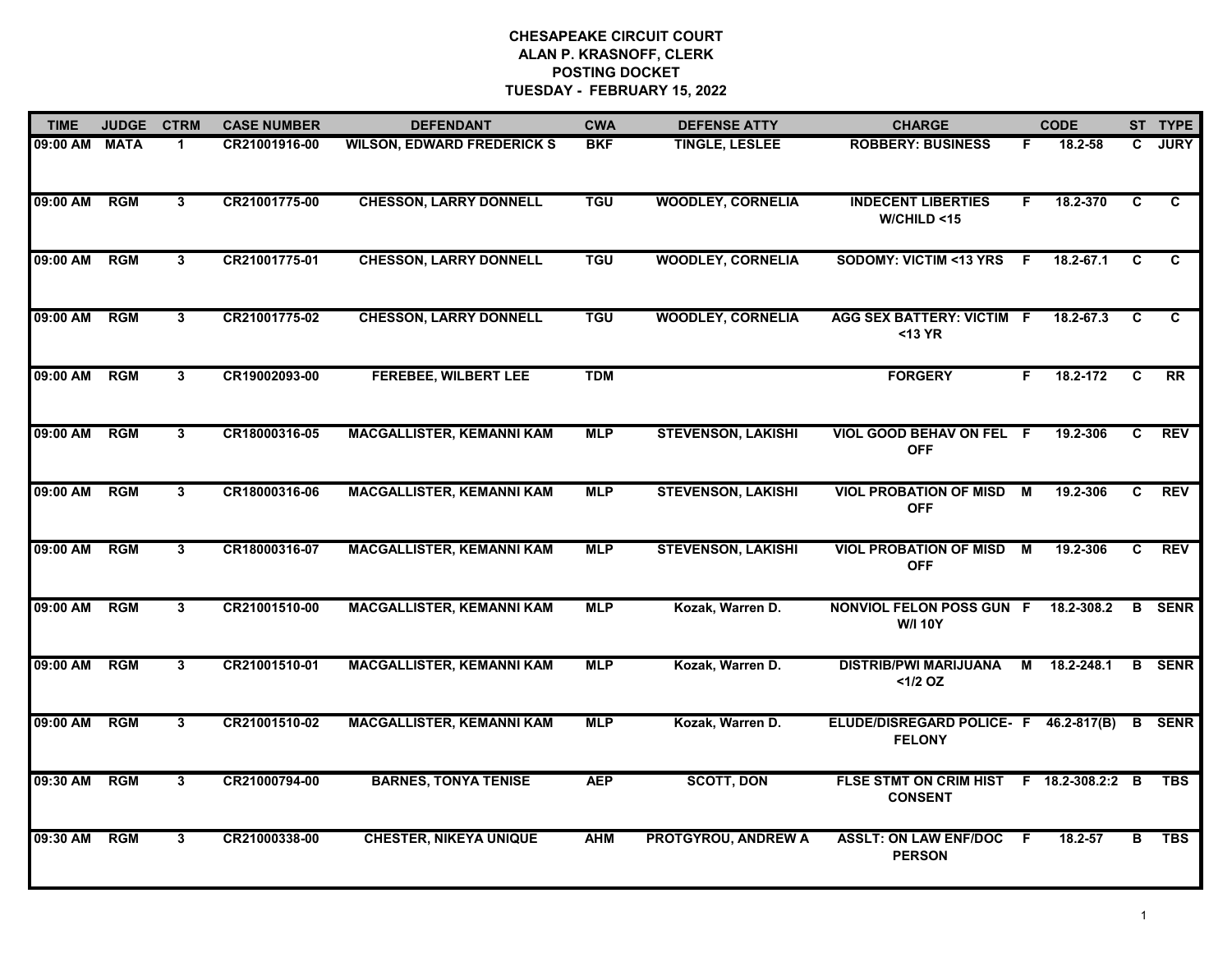| <b>TIME</b>   | <b>JUDGE</b> | <b>CTRM</b>  | <b>CASE NUMBER</b> | <b>DEFENDANT</b>                  | <b>CWA</b> | <b>DEFENSE ATTY</b>        | <b>CHARGE</b>                                          |    | <b>CODE</b>      |    | ST TYPE       |
|---------------|--------------|--------------|--------------------|-----------------------------------|------------|----------------------------|--------------------------------------------------------|----|------------------|----|---------------|
| 09:00 AM MATA |              | 1            | CR21001916-00      | <b>WILSON, EDWARD FREDERICK S</b> | <b>BKF</b> | <b>TINGLE, LESLEE</b>      | <b>ROBBERY: BUSINESS</b>                               | F. | $18.2 - 58$      | C. | <b>JURY</b>   |
| 09:00 AM      | <b>RGM</b>   | $\mathbf{3}$ | CR21001775-00      | <b>CHESSON, LARRY DONNELL</b>     | <b>TGU</b> | <b>WOODLEY, CORNELIA</b>   | <b>INDECENT LIBERTIES</b><br>W/CHILD <15               | F. | 18.2-370         | C  | $\mathbf{C}$  |
| 09:00 AM      | <b>RGM</b>   | 3            | CR21001775-01      | <b>CHESSON, LARRY DONNELL</b>     | <b>TGU</b> | <b>WOODLEY, CORNELIA</b>   | <b>SODOMY: VICTIM &lt;13 YRS</b>                       | F. | 18.2-67.1        | C  | C             |
| 09:00 AM      | <b>RGM</b>   | 3            | CR21001775-02      | <b>CHESSON, LARRY DONNELL</b>     | <b>TGU</b> | <b>WOODLEY, CORNELIA</b>   | AGG SEX BATTERY: VICTIM F<br>$<$ 13 YR                 |    | 18.2-67.3        | C  | C             |
| 09:00 AM      | <b>RGM</b>   | $\mathbf{3}$ | CR19002093-00      | <b>FEREBEE, WILBERT LEE</b>       | <b>TDM</b> |                            | <b>FORGERY</b>                                         | F. | 18.2-172         | C  | <b>RR</b>     |
| 09:00 AM      | RGM          | 3            | CR18000316-05      | <b>MACGALLISTER, KEMANNI KAM</b>  | <b>MLP</b> | <b>STEVENSON, LAKISHI</b>  | <b>VIOL GOOD BEHAV ON FEL F</b><br><b>OFF</b>          |    | 19.2-306         | C. | <b>REV</b>    |
| 09:00 AM      | <b>RGM</b>   | $\mathbf{3}$ | CR18000316-06      | <b>MACGALLISTER, KEMANNI KAM</b>  | <b>MLP</b> | <b>STEVENSON, LAKISHI</b>  | <b>VIOL PROBATION OF MISD M</b><br><b>OFF</b>          |    | 19.2-306         | C  | <b>REV</b>    |
| 09:00 AM      | <b>RGM</b>   | 3            | CR18000316-07      | <b>MACGALLISTER, KEMANNI KAM</b>  | <b>MLP</b> | <b>STEVENSON, LAKISHI</b>  | <b>VIOL PROBATION OF MISD</b><br><b>OFF</b>            | M  | 19.2-306         | C. | <b>REV</b>    |
| 09:00 AM      | <b>RGM</b>   | 3            | CR21001510-00      | <b>MACGALLISTER, KEMANNI KAM</b>  | <b>MLP</b> | Kozak, Warren D.           | NONVIOL FELON POSS GUN F<br><b>W/I 10Y</b>             |    | 18.2-308.2       | B  | <b>SENR</b>   |
| 09:00 AM      | <b>RGM</b>   | 3            | CR21001510-01      | <b>MACGALLISTER, KEMANNI KAM</b>  | <b>MLP</b> | Kozak, Warren D.           | <b>DISTRIB/PWI MARIJUANA</b><br><1/2 OZ                |    | M 18.2-248.1     |    | <b>B</b> SENR |
| 09:00 AM      | <b>RGM</b>   | 3            | CR21001510-02      | <b>MACGALLISTER, KEMANNI KAM</b>  | <b>MLP</b> | Kozak, Warren D.           | ELUDE/DISREGARD POLICE- F 46.2-817(B)<br><b>FELONY</b> |    |                  | B  | <b>SENR</b>   |
| 09:30 AM      | <b>RGM</b>   | $\mathbf{3}$ | CR21000794-00      | <b>BARNES, TONYA TENISE</b>       | <b>AEP</b> | <b>SCOTT, DON</b>          | <b>FLSE STMT ON CRIM HIST</b><br><b>CONSENT</b>        |    | F 18.2-308.2:2 B |    | <b>TBS</b>    |
| 09:30 AM      | <b>RGM</b>   | 3            | CR21000338-00      | <b>CHESTER, NIKEYA UNIQUE</b>     | <b>AHM</b> | <b>PROTGYROU, ANDREW A</b> | <b>ASSLT: ON LAW ENF/DOC F</b><br><b>PERSON</b>        |    | $18.2 - 57$      | В  | <b>TBS</b>    |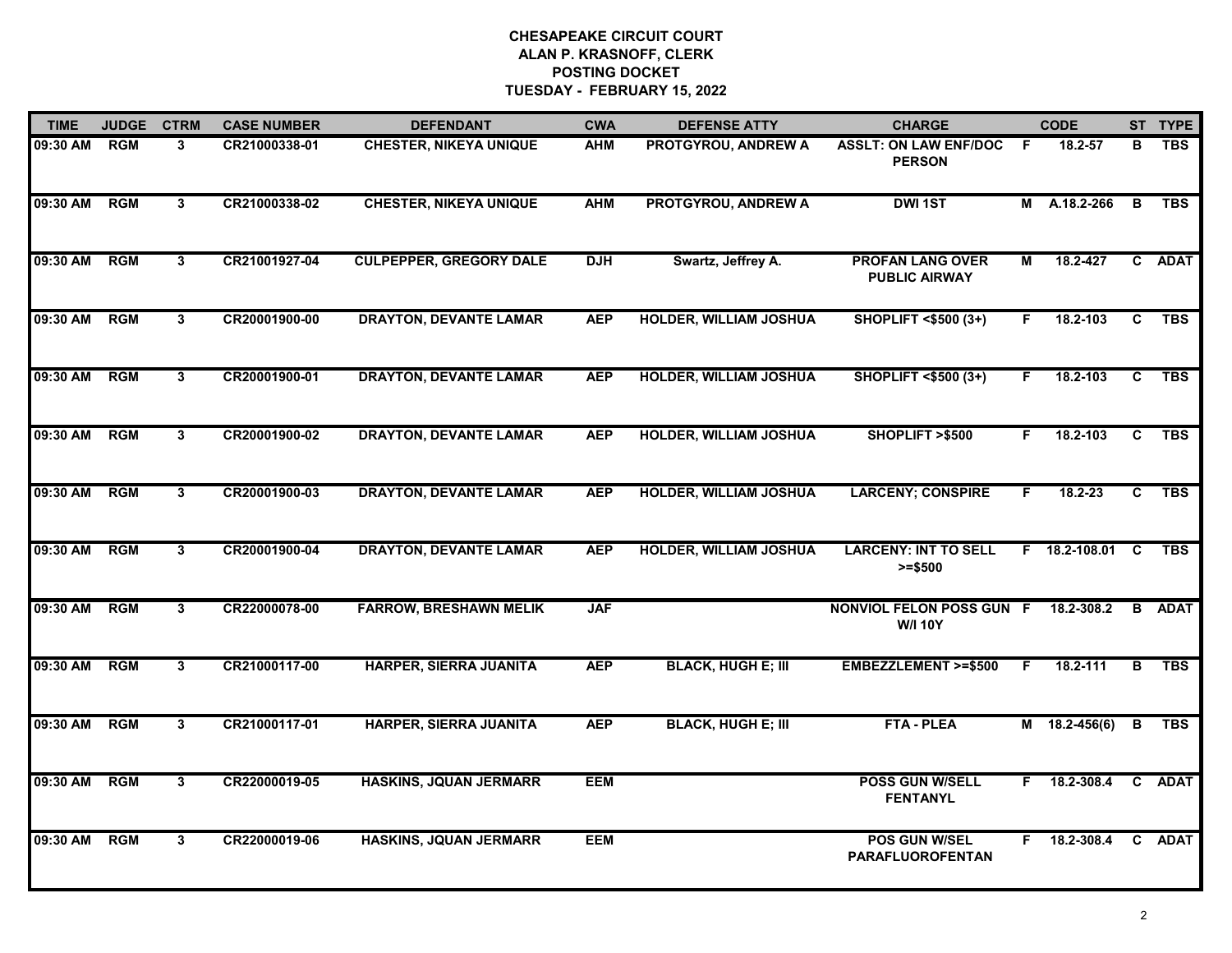| <b>TIME</b> | <b>JUDGE</b> | <b>CTRM</b>    | <b>CASE NUMBER</b> | <b>DEFENDANT</b>               | <b>CWA</b> | <b>DEFENSE ATTY</b>           | <b>CHARGE</b>                                     |    | <b>CODE</b>     |              | ST TYPE     |
|-------------|--------------|----------------|--------------------|--------------------------------|------------|-------------------------------|---------------------------------------------------|----|-----------------|--------------|-------------|
| 09:30 AM    | RGM          | 3              | CR21000338-01      | <b>CHESTER, NIKEYA UNIQUE</b>  | <b>AHM</b> | PROTGYROU, ANDREW A           | <b>ASSLT: ON LAW ENF/DOC</b><br><b>PERSON</b>     | -F | 18.2-57         | в            | <b>TBS</b>  |
| 09:30 AM    | <b>RGM</b>   | 3              | CR21000338-02      | <b>CHESTER, NIKEYA UNIQUE</b>  | <b>AHM</b> | <b>PROTGYROU, ANDREW A</b>    | <b>DWI 1ST</b>                                    | M  | A.18.2-266      | B            | <b>TBS</b>  |
| 09:30 AM    | RGM          | $\overline{3}$ | CR21001927-04      | <b>CULPEPPER, GREGORY DALE</b> | <b>DJH</b> | Swartz, Jeffrey A.            | <b>PROFAN LANG OVER</b><br><b>PUBLIC AIRWAY</b>   | М  | 18.2-427        |              | C ADAT      |
| 09:30 AM    | <b>RGM</b>   | 3              | CR20001900-00      | <b>DRAYTON, DEVANTE LAMAR</b>  | <b>AEP</b> | <b>HOLDER, WILLIAM JOSHUA</b> | <b>SHOPLIFT &lt;\$500 (3+)</b>                    | F. | 18.2-103        | C.           | <b>TBS</b>  |
| 09:30 AM    | <b>RGM</b>   | $\mathbf{3}$   | CR20001900-01      | <b>DRAYTON, DEVANTE LAMAR</b>  | <b>AEP</b> | <b>HOLDER, WILLIAM JOSHUA</b> | <b>SHOPLIFT &lt;\$500 (3+)</b>                    | F. | 18.2-103        | C            | <b>TBS</b>  |
| 09:30 AM    | RGM          | 3              | CR20001900-02      | <b>DRAYTON, DEVANTE LAMAR</b>  | <b>AEP</b> | <b>HOLDER, WILLIAM JOSHUA</b> | SHOPLIFT >\$500                                   | F. | 18.2-103        | C            | <b>TBS</b>  |
| 09:30 AM    | RGM          | $\mathbf{3}$   | CR20001900-03      | <b>DRAYTON, DEVANTE LAMAR</b>  | <b>AEP</b> | <b>HOLDER, WILLIAM JOSHUA</b> | <b>LARCENY; CONSPIRE</b>                          | F  | 18.2-23         | C            | <b>TBS</b>  |
| 09:30 AM    | <b>RGM</b>   | 3 <sup>1</sup> | CR20001900-04      | <b>DRAYTON, DEVANTE LAMAR</b>  | <b>AEP</b> | <b>HOLDER, WILLIAM JOSHUA</b> | <b>LARCENY: INT TO SELL</b><br>$>= $500$          |    | F 18.2-108.01   | C            | <b>TBS</b>  |
| 09:30 AM    | <b>RGM</b>   | 3              | CR22000078-00      | <b>FARROW, BRESHAWN MELIK</b>  | <b>JAF</b> |                               | <b>NONVIOL FELON POSS GUN F</b><br><b>W/I 10Y</b> |    | 18.2-308.2      | B            | <b>ADAT</b> |
| 09:30 AM    | RGM          | 3              | CR21000117-00      | HARPER, SIERRA JUANITA         | <b>AEP</b> | <b>BLACK, HUGH E; III</b>     | <b>EMBEZZLEMENT &gt;=\$500</b>                    | F  | 18.2-111        | в            | <b>TBS</b>  |
| 09:30 AM    | <b>RGM</b>   | 3              | CR21000117-01      | HARPER, SIERRA JUANITA         | <b>AEP</b> | <b>BLACK, HUGH E; III</b>     | <b>FTA - PLEA</b>                                 |    | $M$ 18.2-456(6) | В            | <b>TBS</b>  |
| 09:30 AM    | RGM          | 3              | CR22000019-05      | <b>HASKINS, JQUAN JERMARR</b>  | <b>EEM</b> |                               | <b>POSS GUN W/SELL</b><br><b>FENTANYL</b>         | F. | 18.2-308.4      | $\mathbf{c}$ | <b>ADAT</b> |
| 09:30 AM    | <b>RGM</b>   | 3              | CR22000019-06      | <b>HASKINS, JQUAN JERMARR</b>  | <b>EEM</b> |                               | POS GUN W/SEL<br><b>PARAFLUOROFENTAN</b>          | F. | 18.2-308.4      |              | C ADAT      |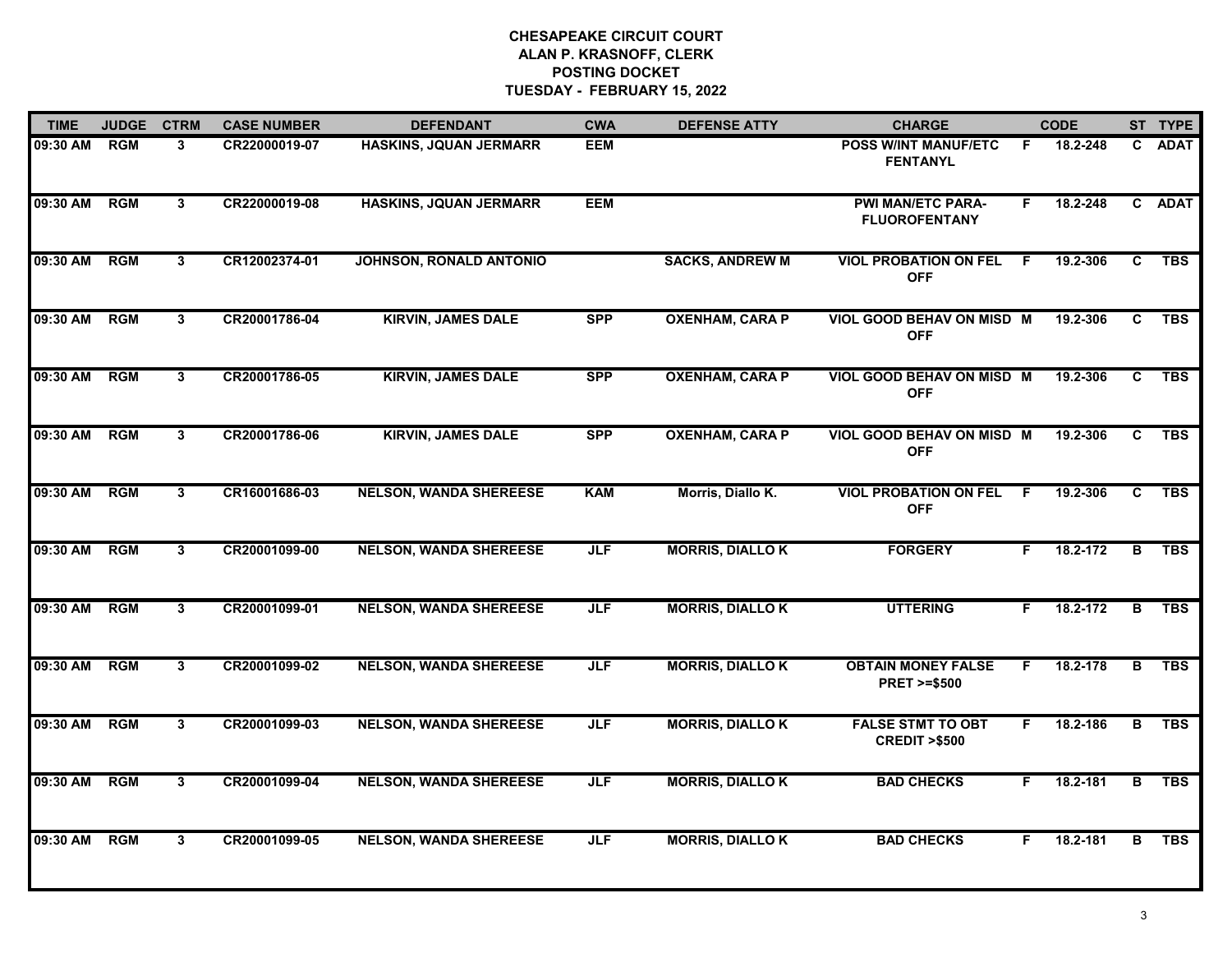| <b>TIME</b>  | <b>JUDGE</b> | <b>CTRM</b>    | <b>CASE NUMBER</b> | <b>DEFENDANT</b>              | <b>CWA</b> | <b>DEFENSE ATTY</b>    | <b>CHARGE</b>                                       |    | <b>CODE</b> |    | ST TYPE     |
|--------------|--------------|----------------|--------------------|-------------------------------|------------|------------------------|-----------------------------------------------------|----|-------------|----|-------------|
| 09:30 AM     | <b>RGM</b>   | 3              | CR22000019-07      | HASKINS, JQUAN JERMARR        | <b>EEM</b> |                        | <b>POSS WINT MANUF/ETC</b><br><b>FENTANYL</b>       | E  | 18.2-248    | C. | <b>ADAT</b> |
| 09:30 AM RGM |              | 3              | CR22000019-08      | <b>HASKINS, JQUAN JERMARR</b> | <b>EEM</b> |                        | <b>PWI MAN/ETC PARA-</b><br><b>FLUOROFENTANY</b>    | F  | 18.2-248    |    | C ADAT      |
| 09:30 AM     | <b>RGM</b>   | 3 <sup>1</sup> | CR12002374-01      | JOHNSON, RONALD ANTONIO       |            | <b>SACKS, ANDREW M</b> | <b>VIOL PROBATION ON FEL</b><br><b>OFF</b>          | F. | 19.2-306    | C  | <b>TBS</b>  |
| 09:30 AM     | <b>RGM</b>   | 3              | CR20001786-04      | <b>KIRVIN, JAMES DALE</b>     | <b>SPP</b> | <b>OXENHAM, CARA P</b> | VIOL GOOD BEHAV ON MISD M<br><b>OFF</b>             |    | 19.2-306    | C  | <b>TBS</b>  |
| 09:30 AM     | <b>RGM</b>   | 3              | CR20001786-05      | <b>KIRVIN, JAMES DALE</b>     | <b>SPP</b> | <b>OXENHAM, CARA P</b> | VIOL GOOD BEHAV ON MISD M<br><b>OFF</b>             |    | 19.2-306    | C. | <b>TBS</b>  |
| 09:30 AM     | RGM          | 3              | CR20001786-06      | <b>KIRVIN, JAMES DALE</b>     | <b>SPP</b> | <b>OXENHAM, CARA P</b> | VIOL GOOD BEHAV ON MISD M<br><b>OFF</b>             |    | 19.2-306    | C. | <b>TBS</b>  |
| 09:30 AM     | RGM          | $\mathbf{3}$   | CR16001686-03      | <b>NELSON, WANDA SHEREESE</b> | <b>KAM</b> | Morris, Diallo K.      | <b>VIOL PROBATION ON FEL</b><br><b>OFF</b>          | -F | 19.2-306    | C  | <b>TBS</b>  |
| 09:30 AM     | <b>RGM</b>   | 3              | CR20001099-00      | <b>NELSON, WANDA SHEREESE</b> | <b>JLF</b> | <b>MORRIS, DIALLOK</b> | <b>FORGERY</b>                                      | F. | 18.2-172    | B  | <b>TBS</b>  |
| 09:30 AM     | <b>RGM</b>   | $\mathbf{3}$   | CR20001099-01      | <b>NELSON, WANDA SHEREESE</b> | <b>JLF</b> | <b>MORRIS, DIALLOK</b> | <b>UTTERING</b>                                     | F. | 18.2-172    | B  | <b>TBS</b>  |
| 09:30 AM     | <b>RGM</b>   | 3              | CR20001099-02      | <b>NELSON, WANDA SHEREESE</b> | <b>JLF</b> | <b>MORRIS, DIALLOK</b> | <b>OBTAIN MONEY FALSE</b><br><b>PRET &gt;=\$500</b> | F. | 18.2-178    | В  | <b>TBS</b>  |
| 09:30 AM     | <b>RGM</b>   | 3              | CR20001099-03      | <b>NELSON, WANDA SHEREESE</b> | <b>JLF</b> | <b>MORRIS, DIALLOK</b> | <b>FALSE STMT TO OBT</b><br><b>CREDIT &gt;\$500</b> | F. | 18.2-186    | в  | <b>TBS</b>  |
| 09:30 AM     | RGM          | 3              | CR20001099-04      | <b>NELSON, WANDA SHEREESE</b> | <b>JLF</b> | <b>MORRIS, DIALLOK</b> | <b>BAD CHECKS</b>                                   | F. | 18.2-181    | B  | <b>TBS</b>  |
| 09:30 AM     | <b>RGM</b>   | 3              | CR20001099-05      | <b>NELSON, WANDA SHEREESE</b> | <b>JLF</b> | <b>MORRIS, DIALLOK</b> | <b>BAD CHECKS</b>                                   | F  | 18.2-181    | B  | <b>TBS</b>  |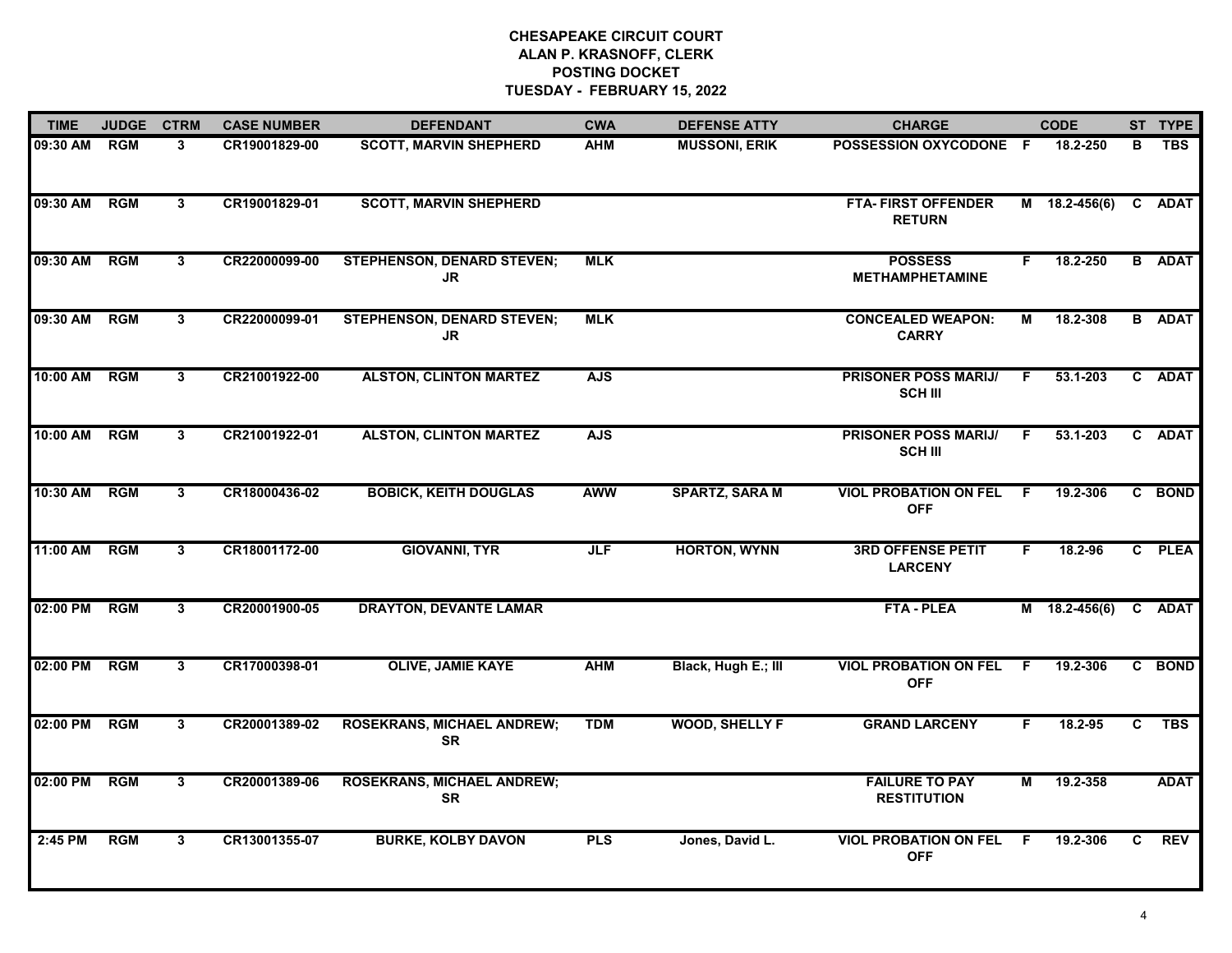| <b>TIME</b>  | <b>JUDGE</b> | <b>CTRM</b>    | <b>CASE NUMBER</b> | <b>DEFENDANT</b>                               | <b>CWA</b> | <b>DEFENSE ATTY</b>   | <b>CHARGE</b>                                 |                | <b>CODE</b>     |    | ST TYPE       |
|--------------|--------------|----------------|--------------------|------------------------------------------------|------------|-----------------------|-----------------------------------------------|----------------|-----------------|----|---------------|
| 09:30 AM     | <b>RGM</b>   | 3              | CR19001829-00      | <b>SCOTT, MARVIN SHEPHERD</b>                  | <b>AHM</b> | <b>MUSSONI, ERIK</b>  | POSSESSION OXYCODONE F                        |                | 18.2-250        | в  | <b>TBS</b>    |
| 09:30 AM RGM |              | 3              | CR19001829-01      | <b>SCOTT, MARVIN SHEPHERD</b>                  |            |                       | <b>FTA- FIRST OFFENDER</b><br><b>RETURN</b>   |                | M 18.2-456(6)   |    | C ADAT        |
| 09:30 AM     | <b>RGM</b>   | $3^{\circ}$    | CR22000099-00      | <b>STEPHENSON, DENARD STEVEN;</b><br>JR.       | <b>MLK</b> |                       | <b>POSSESS</b><br><b>METHAMPHETAMINE</b>      | F.             | 18.2-250        |    | <b>B</b> ADAT |
| 09:30 AM     | <b>RGM</b>   | $3^{\circ}$    | CR22000099-01      | <b>STEPHENSON, DENARD STEVEN;</b><br>JR        | <b>MLK</b> |                       | <b>CONCEALED WEAPON:</b><br><b>CARRY</b>      | М              | 18.2-308        |    | <b>B</b> ADAT |
| 10:00 AM     | <b>RGM</b>   | 3              | CR21001922-00      | <b>ALSTON, CLINTON MARTEZ</b>                  | <b>AJS</b> |                       | <b>PRISONER POSS MARIJ/</b><br><b>SCH III</b> | F.             | 53.1-203        |    | C ADAT        |
| 10:00 AM RGM |              | 3              | CR21001922-01      | <b>ALSTON, CLINTON MARTEZ</b>                  | <b>AJS</b> |                       | <b>PRISONER POSS MARIJI</b><br><b>SCH III</b> | F.             | 53.1-203        |    | C ADAT        |
| 10:30 AM RGM |              | $\overline{3}$ | CR18000436-02      | <b>BOBICK, KEITH DOUGLAS</b>                   | <b>AWW</b> | <b>SPARTZ, SARA M</b> | <b>VIOL PROBATION ON FEL</b><br><b>OFF</b>    | F              | 19.2-306        |    | C BOND        |
| 11:00 AM     | <b>RGM</b>   | $\mathbf{3}$   | CR18001172-00      | <b>GIOVANNI, TYR</b>                           | JLF        | <b>HORTON, WYNN</b>   | <b>3RD OFFENSE PETIT</b><br><b>LARCENY</b>    | F.             | 18.2-96         |    | C PLEA        |
| 02:00 PM     | <b>RGM</b>   | 3              | CR20001900-05      | <b>DRAYTON, DEVANTE LAMAR</b>                  |            |                       | <b>FTA - PLEA</b>                             |                | $M$ 18.2-456(6) |    | C ADAT        |
| 02:00 PM     | <b>RGM</b>   | $\overline{3}$ | CR17000398-01      | <b>OLIVE, JAMIE KAYE</b>                       | <b>AHM</b> | Black, Hugh E.; III   | <b>VIOL PROBATION ON FEL</b><br><b>OFF</b>    | F.             | 19.2-306        |    | C BOND        |
| 02:00 PM     | RGM          | 3              | CR20001389-02      | <b>ROSEKRANS, MICHAEL ANDREW;</b><br><b>SR</b> | <b>TDM</b> | <b>WOOD, SHELLY F</b> | <b>GRAND LARCENY</b>                          | F.             | 18.2-95         | C. | <b>TBS</b>    |
| 02:00 PM     | <b>RGM</b>   | $\overline{3}$ | CR20001389-06      | <b>ROSEKRANS, MICHAEL ANDREW;</b><br><b>SR</b> |            |                       | <b>FAILURE TO PAY</b><br><b>RESTITUTION</b>   | $\overline{M}$ | 19.2-358        |    | <b>ADAT</b>   |
| 2:45 PM      | <b>RGM</b>   | 3              | CR13001355-07      | <b>BURKE, KOLBY DAVON</b>                      | <b>PLS</b> | Jones, David L.       | <b>VIOL PROBATION ON FEL</b><br><b>OFF</b>    | -F             | 19.2-306        | C. | <b>REV</b>    |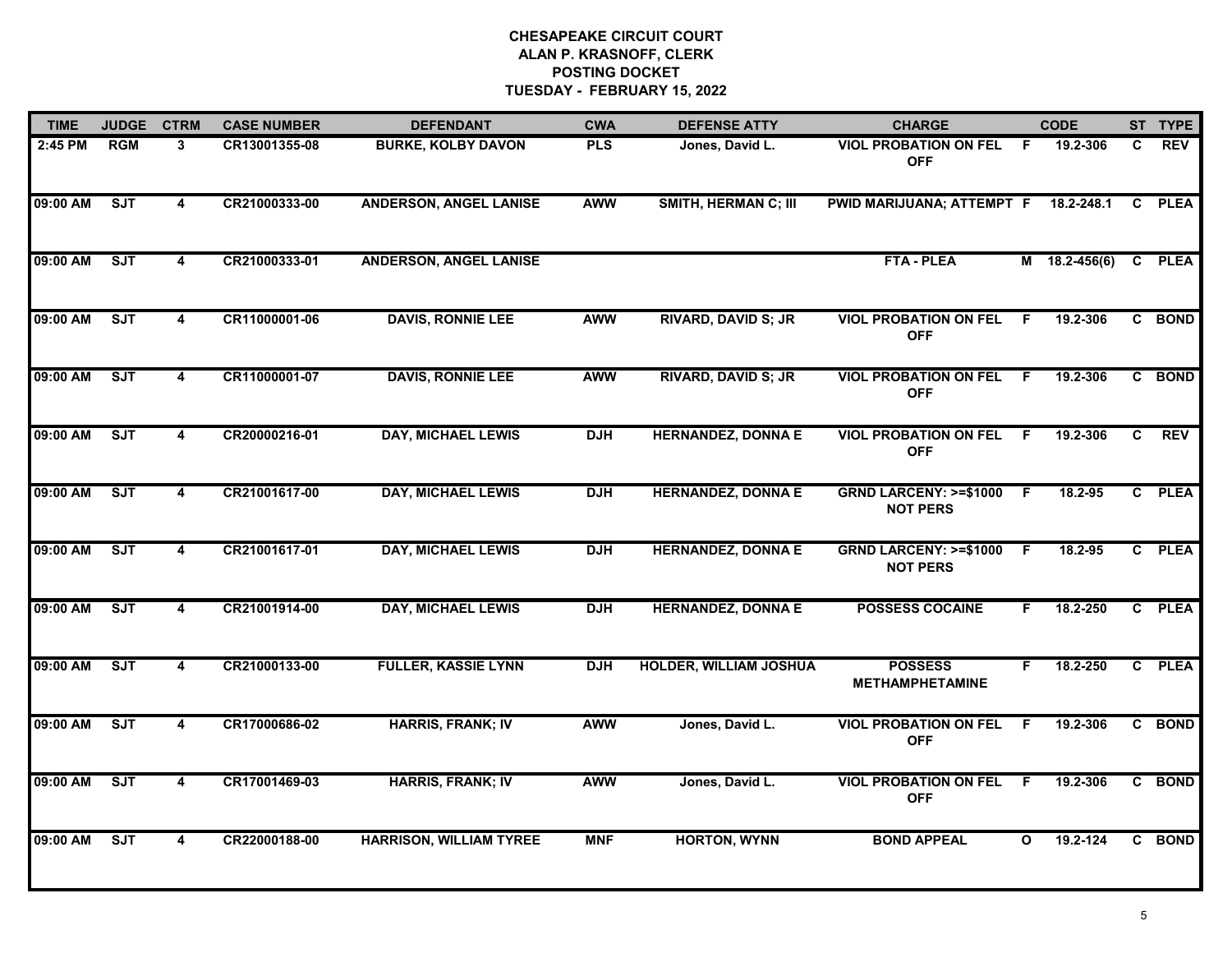| <b>TIME</b> | <b>JUDGE</b> | <b>CTRM</b>             | <b>CASE NUMBER</b> | <b>DEFENDANT</b>               | <b>CWA</b> | <b>DEFENSE ATTY</b>           | <b>CHARGE</b>                                       |              | <b>CODE</b>     |              | ST TYPE     |
|-------------|--------------|-------------------------|--------------------|--------------------------------|------------|-------------------------------|-----------------------------------------------------|--------------|-----------------|--------------|-------------|
| 2:45 PM     | <b>RGM</b>   | 3                       | CR13001355-08      | <b>BURKE, KOLBY DAVON</b>      | <b>PLS</b> | Jones, David L.               | <b>VIOL PROBATION ON FEL</b><br><b>OFF</b>          | - F          | 19.2-306        | C            | <b>REV</b>  |
| 09:00 AM    | <b>SJT</b>   | 4                       | CR21000333-00      | <b>ANDERSON, ANGEL LANISE</b>  | <b>AWW</b> | <b>SMITH, HERMAN C; III</b>   | PWID MARIJUANA; ATTEMPT F 18.2-248.1                |              |                 | C            | <b>PLEA</b> |
| 09:00 AM    | SJT          | $\overline{\mathbf{4}}$ | CR21000333-01      | <b>ANDERSON, ANGEL LANISE</b>  |            |                               | <b>FTA - PLEA</b>                                   |              | $M$ 18.2-456(6) | $\mathbf{C}$ | <b>PLEA</b> |
| 09:00 AM    | <b>SJT</b>   | 4                       | CR11000001-06      | <b>DAVIS, RONNIE LEE</b>       | <b>AWW</b> | <b>RIVARD, DAVID S; JR</b>    | <b>VIOL PROBATION ON FEL</b><br><b>OFF</b>          | F.           | 19.2-306        |              | C BOND      |
| 09:00 AM    | SJT          | 4                       | CR11000001-07      | <b>DAVIS, RONNIE LEE</b>       | <b>AWW</b> | <b>RIVARD, DAVID S; JR</b>    | <b>VIOL PROBATION ON FEL</b><br><b>OFF</b>          | - F          | 19.2-306        |              | C BOND      |
| 09:00 AM    | ST           | 4                       | CR20000216-01      | <b>DAY, MICHAEL LEWIS</b>      | <b>DJH</b> | <b>HERNANDEZ, DONNA E</b>     | <b>VIOL PROBATION ON FEL</b><br><b>OFF</b>          | - F          | 19.2-306        | C.           | <b>REV</b>  |
| 09:00 AM    | SJT          | 4                       | CR21001617-00      | <b>DAY, MICHAEL LEWIS</b>      | <b>DJH</b> | <b>HERNANDEZ, DONNA E</b>     | <b>GRND LARCENY: &gt;=\$1000</b><br><b>NOT PERS</b> | - F          | 18.2-95         |              | C PLEA      |
| 09:00 AM    | SJT          | $\overline{\mathbf{4}}$ | CR21001617-01      | <b>DAY, MICHAEL LEWIS</b>      | <b>DJH</b> | <b>HERNANDEZ, DONNA E</b>     | <b>GRND LARCENY: &gt;=\$1000</b><br><b>NOT PERS</b> | $\mathsf{F}$ | 18.2-95         |              | C PLEA      |
| 09:00 AM    | ST           | 4                       | CR21001914-00      | <b>DAY, MICHAEL LEWIS</b>      | <b>DJH</b> | <b>HERNANDEZ, DONNA E</b>     | <b>POSSESS COCAINE</b>                              | F            | 18.2-250        |              | C PLEA      |
| 09:00 AM    | SJT          | 4                       | CR21000133-00      | <b>FULLER, KASSIE LYNN</b>     | <b>DJH</b> | <b>HOLDER, WILLIAM JOSHUA</b> | <b>POSSESS</b><br><b>METHAMPHETAMINE</b>            | F            | 18.2-250        |              | C PLEA      |
| 09:00 AM    | ST           | 4                       | CR17000686-02      | <b>HARRIS, FRANK; IV</b>       | <b>AWW</b> | Jones, David L.               | <b>VIOL PROBATION ON FEL</b><br><b>OFF</b>          | F.           | 19.2-306        |              | C BOND      |
| 09:00 AM    | SJT          | 4                       | CR17001469-03      | <b>HARRIS, FRANK; IV</b>       | <b>AWW</b> | Jones, David L.               | <b>VIOL PROBATION ON FEL</b><br><b>OFF</b>          | - F          | 19.2-306        |              | C BOND      |
| 09:00 AM    | ST           | 4                       | CR22000188-00      | <b>HARRISON, WILLIAM TYREE</b> | <b>MNF</b> | <b>HORTON, WYNN</b>           | <b>BOND APPEAL</b>                                  | O            | 19.2-124        |              | C BOND      |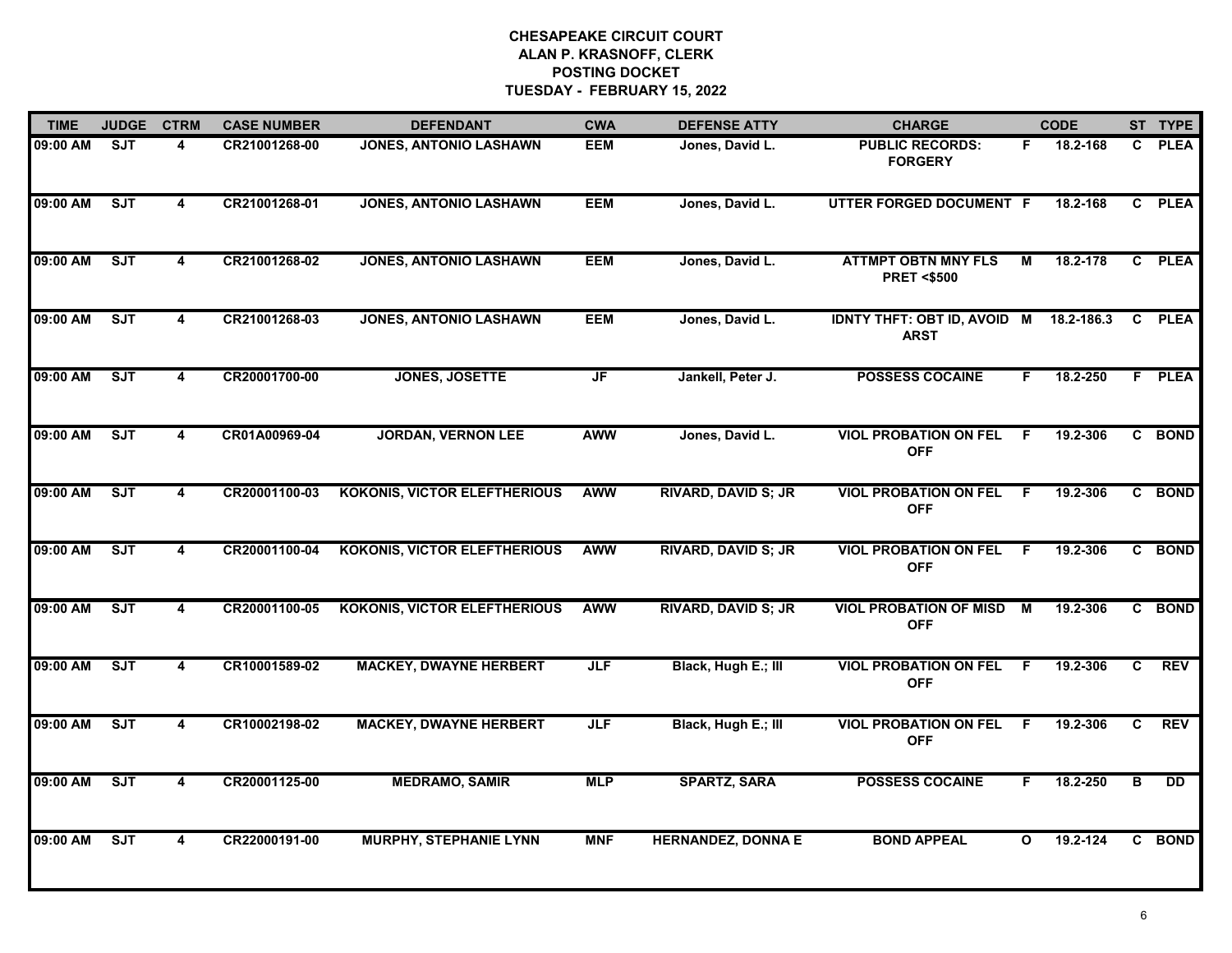| <b>TIME</b> | <b>JUDGE</b> | <b>CTRM</b>             | <b>CASE NUMBER</b> | <b>DEFENDANT</b>                    | <b>CWA</b>                        | <b>DEFENSE ATTY</b>        | <b>CHARGE</b>                                         |              | <b>CODE</b> |   | ST TYPE       |
|-------------|--------------|-------------------------|--------------------|-------------------------------------|-----------------------------------|----------------------------|-------------------------------------------------------|--------------|-------------|---|---------------|
| 09:00 AM    | <b>SJT</b>   | 4                       | CR21001268-00      | <b>JONES, ANTONIO LASHAWN</b>       | <b>EEM</b>                        | Jones, David L.            | <b>PUBLIC RECORDS:</b><br><b>FORGERY</b>              | F.           | 18.2-168    |   | C PLEA        |
| 09:00 AM    | ST           | 4                       | CR21001268-01      | <b>JONES, ANTONIO LASHAWN</b>       | <b>EEM</b>                        | Jones, David L.            | UTTER FORGED DOCUMENT F                               |              | 18.2-168    |   | C PLEA        |
| 09:00 AM    | SJT          | $\overline{\mathbf{4}}$ | CR21001268-02      | <b>JONES, ANTONIO LASHAWN</b>       | <b>EEM</b>                        | Jones, David L.            | <b>ATTMPT OBTN MNY FLS</b><br><b>PRET &lt;\$500</b>   | М            | 18.2-178    |   | C PLEA        |
| 09:00 AM    | ST           | 4                       | CR21001268-03      | <b>JONES, ANTONIO LASHAWN</b>       | <b>EEM</b>                        | Jones, David L.            | IDNTY THFT: OBT ID, AVOID M 18.2-186.3<br><b>ARST</b> |              |             |   | C PLEA        |
| 09:00 AM    | ST           | 4                       | CR20001700-00      | <b>JONES, JOSETTE</b>               | $\overline{\mathsf{J}\mathsf{F}}$ | Jankell, Peter J.          | <b>POSSESS COCAINE</b>                                | F.           | 18.2-250    |   | <b>F</b> PLEA |
| 09:00 AM    | SJT          | $\overline{\mathbf{4}}$ | CR01A00969-04      | <b>JORDAN, VERNON LEE</b>           | <b>AWW</b>                        | Jones, David L.            | <b>VIOL PROBATION ON FEL</b><br><b>OFF</b>            | - F          | 19.2-306    |   | C BOND        |
| 09:00 AM    | SJT          | 4                       | CR20001100-03      | <b>KOKONIS, VICTOR ELEFTHERIOUS</b> | <b>AWW</b>                        | <b>RIVARD, DAVID S; JR</b> | <b>VIOL PROBATION ON FEL</b><br><b>OFF</b>            | F.           | 19.2-306    |   | C BOND        |
| 09:00 AM    | SJT          | 4                       | CR20001100-04      | <b>KOKONIS, VICTOR ELEFTHERIOUS</b> | <b>AWW</b>                        | <b>RIVARD, DAVID S; JR</b> | <b>VIOL PROBATION ON FEL</b><br><b>OFF</b>            | F            | 19.2-306    |   | C BOND        |
| 09:00 AM    | <b>SJT</b>   | 4                       | CR20001100-05      | <b>KOKONIS, VICTOR ELEFTHERIOUS</b> | <b>AWW</b>                        | <b>RIVARD, DAVID S; JR</b> | <b>VIOL PROBATION OF MISD</b><br><b>OFF</b>           | м            | 19.2-306    |   | C BOND        |
| 09:00 AM    | ST           | 4                       | CR10001589-02      | <b>MACKEY, DWAYNE HERBERT</b>       | <b>JLF</b>                        | Black, Hugh E.; III        | <b>VIOL PROBATION ON FEL</b><br><b>OFF</b>            | F.           | 19.2-306    | C | <b>REV</b>    |
| 09:00 AM    | SJT          | 4                       | CR10002198-02      | <b>MACKEY, DWAYNE HERBERT</b>       | <b>JLF</b>                        | Black, Hugh E.; III        | <b>VIOL PROBATION ON FEL</b><br><b>OFF</b>            | F.           | 19.2-306    | C | <b>REV</b>    |
| 09:00 AM    | SJT          | 4                       | CR20001125-00      | <b>MEDRAMO, SAMIR</b>               | <b>MLP</b>                        | <b>SPARTZ, SARA</b>        | <b>POSSESS COCAINE</b>                                | F.           | 18.2-250    | в | <b>DD</b>     |
| 09:00 AM    | ST           | 4                       | CR22000191-00      | <b>MURPHY, STEPHANIE LYNN</b>       | <b>MNF</b>                        | <b>HERNANDEZ, DONNA E</b>  | <b>BOND APPEAL</b>                                    | $\mathbf{o}$ | 19.2-124    |   | C BOND        |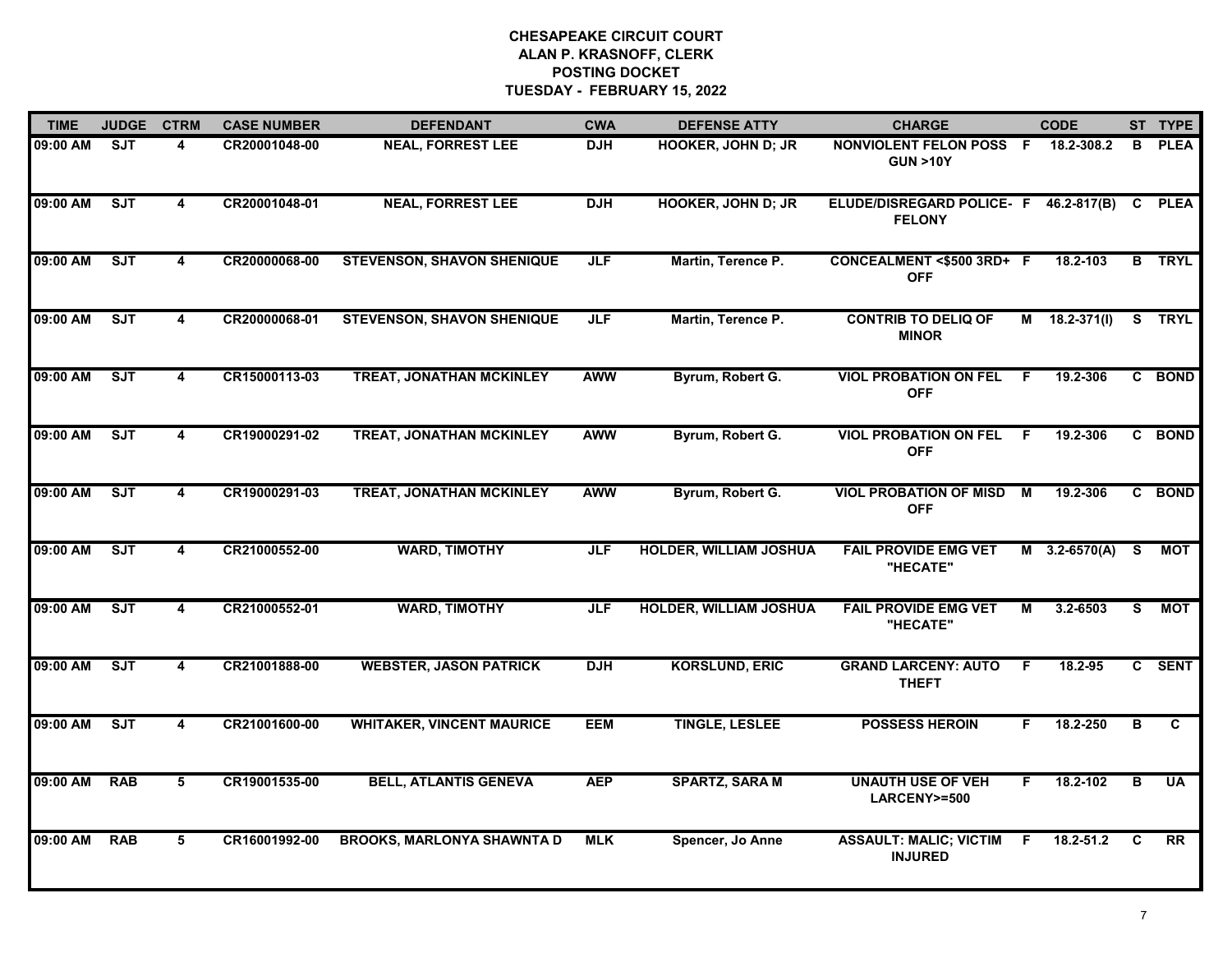| <b>TIME</b> | <b>JUDGE</b> | <b>CTRM</b>             | <b>CASE NUMBER</b> | <b>DEFENDANT</b>                  | <b>CWA</b> | <b>DEFENSE ATTY</b>           | <b>CHARGE</b>                                                 |     | <b>CODE</b>         |              | ST TYPE       |
|-------------|--------------|-------------------------|--------------------|-----------------------------------|------------|-------------------------------|---------------------------------------------------------------|-----|---------------------|--------------|---------------|
| 09:00 AM    | SJT          | 4                       | CR20001048-00      | <b>NEAL, FORREST LEE</b>          | <b>DJH</b> | <b>HOOKER, JOHN D; JR</b>     | NONVIOLENT FELON POSS F<br><b>GUN &gt;10Y</b>                 |     | 18.2-308.2          | В            | <b>PLEA</b>   |
| 09:00 AM    | SJT          | 4                       | CR20001048-01      | <b>NEAL, FORREST LEE</b>          | <b>DJH</b> | <b>HOOKER, JOHN D; JR</b>     | ELUDE/DISREGARD POLICE- F 46.2-817(B) C PLEA<br><b>FELONY</b> |     |                     |              |               |
| 09:00 AM    | ST           | $\overline{4}$          | CR20000068-00      | <b>STEVENSON, SHAVON SHENIQUE</b> | <b>JLF</b> | Martin, Terence P.            | CONCEALMENT <\$500 3RD+ F<br><b>OFF</b>                       |     | 18.2-103            |              | <b>B</b> TRYL |
| 09:00 AM    | SJT          | 4                       | CR20000068-01      | <b>STEVENSON, SHAVON SHENIQUE</b> | <b>JLF</b> | Martin, Terence P.            | <b>CONTRIB TO DELIQ OF</b><br><b>MINOR</b>                    |     | $M = 18.2 - 371(1)$ |              | S TRYL        |
| 09:00 AM    | ST           | 4                       | CR15000113-03      | <b>TREAT, JONATHAN MCKINLEY</b>   | <b>AWW</b> | Byrum, Robert G.              | <b>VIOL PROBATION ON FEL</b><br><b>OFF</b>                    | F.  | 19.2-306            |              | C BOND        |
| 09:00 AM    | SJT          | 4                       | CR19000291-02      | <b>TREAT, JONATHAN MCKINLEY</b>   | <b>AWW</b> | Byrum, Robert G.              | <b>VIOL PROBATION ON FEL</b><br><b>OFF</b>                    | - F | 19.2-306            |              | C BOND        |
| 09:00 AM    | SJT          | $\overline{\mathbf{4}}$ | CR19000291-03      | <b>TREAT, JONATHAN MCKINLEY</b>   | <b>AWW</b> | Byrum, Robert G.              | <b>VIOL PROBATION OF MISD</b><br><b>OFF</b>                   | M   | 19.2-306            | $\mathbf{c}$ | <b>BOND</b>   |
| 09:00 AM    | SJT          | $\overline{\mathbf{4}}$ | CR21000552-00      | <b>WARD, TIMOTHY</b>              | <b>JLF</b> | <b>HOLDER, WILLIAM JOSHUA</b> | <b>FAIL PROVIDE EMG VET</b><br>"HECATE"                       |     | $M = 3.2 - 6570(A)$ | S.           | <b>MOT</b>    |
| 09:00 AM    | ST           | 4                       | CR21000552-01      | <b>WARD, TIMOTHY</b>              | <b>JLF</b> | HOLDER, WILLIAM JOSHUA        | <b>FAIL PROVIDE EMG VET</b><br>"HECATE"                       | м   | 3.2-6503            | S.           | МОТ           |
| 09:00 AM    | ST           | 4                       | CR21001888-00      | <b>WEBSTER, JASON PATRICK</b>     | <b>DJH</b> | <b>KORSLUND, ERIC</b>         | <b>GRAND LARCENY: AUTO</b><br><b>THEFT</b>                    | F.  | 18.2-95             |              | C SENT        |
| 09:00 AM    | SJT          | 4                       | CR21001600-00      | <b>WHITAKER, VINCENT MAURICE</b>  | <b>EEM</b> | <b>TINGLE, LESLEE</b>         | <b>POSSESS HEROIN</b>                                         | F.  | 18.2-250            | в            | C             |
| 09:00 AM    | <b>RAB</b>   | 5                       | CR19001535-00      | <b>BELL, ATLANTIS GENEVA</b>      | <b>AEP</b> | <b>SPARTZ, SARA M</b>         | <b>UNAUTH USE OF VEH</b><br>LARCENY>=500                      | F.  | 18.2-102            | B            | <b>UA</b>     |
| 09:00 AM    | <b>RAB</b>   | 5                       | CR16001992-00      | <b>BROOKS, MARLONYA SHAWNTA D</b> | <b>MLK</b> | Spencer, Jo Anne              | <b>ASSAULT: MALIC; VICTIM</b><br><b>INJURED</b>               | F   | 18.2-51.2           | C            | RR            |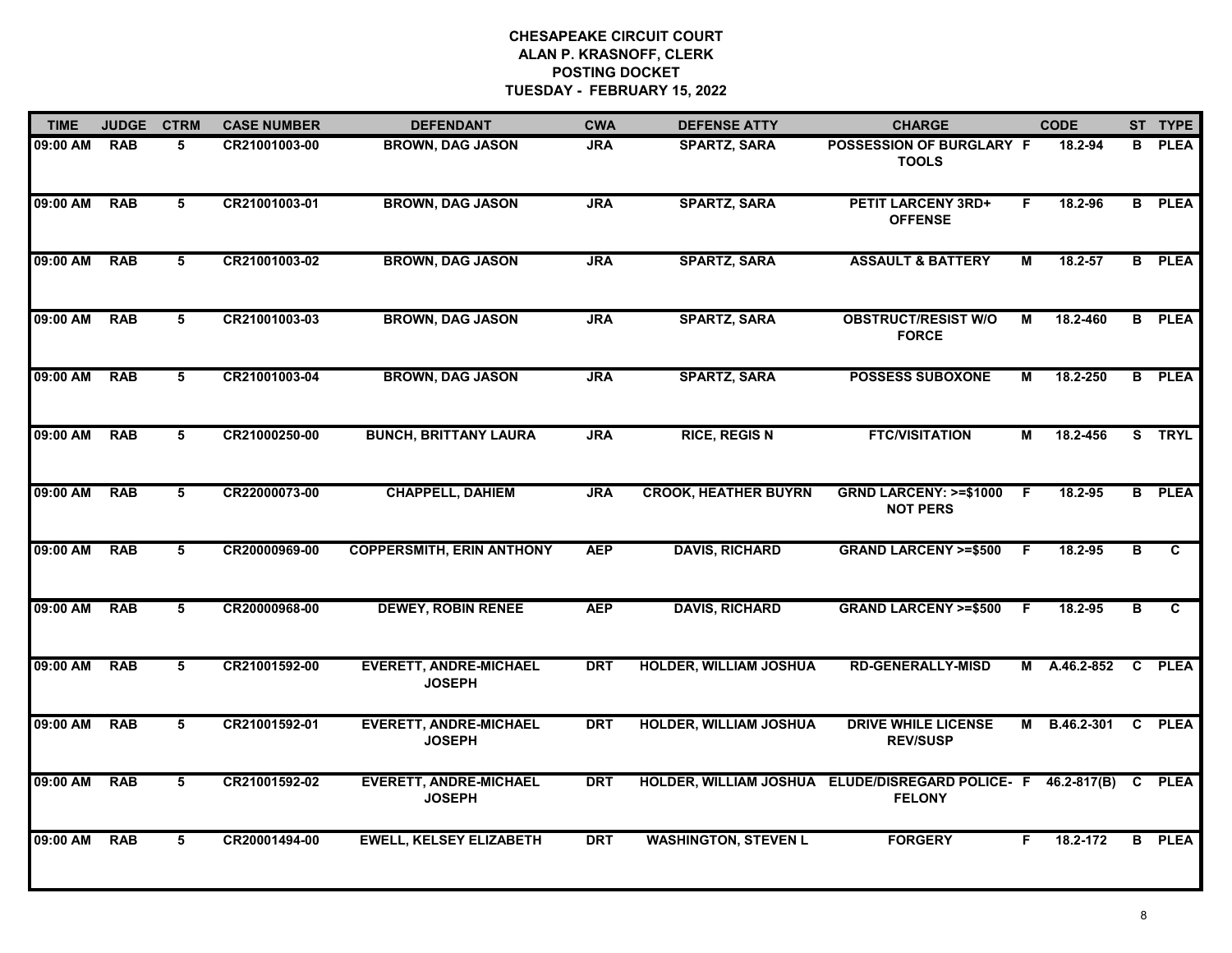| <b>TIME</b> | <b>JUDGE</b> | <b>CTRM</b> | <b>CASE NUMBER</b> | <b>DEFENDANT</b>                               | <b>CWA</b> | <b>DEFENSE ATTY</b>           | <b>CHARGE</b>                                                                   |     | <b>CODE</b>  |              | ST TYPE        |
|-------------|--------------|-------------|--------------------|------------------------------------------------|------------|-------------------------------|---------------------------------------------------------------------------------|-----|--------------|--------------|----------------|
| 09:00 AM    | <b>RAB</b>   | 5           | CR21001003-00      | <b>BROWN, DAG JASON</b>                        | <b>JRA</b> | <b>SPARTZ, SARA</b>           | <b>POSSESSION OF BURGLARY F</b><br><b>TOOLS</b>                                 |     | 18.2-94      |              | <b>B</b> PLEA  |
| 09:00 AM    | <b>RAB</b>   | 5           | CR21001003-01      | <b>BROWN, DAG JASON</b>                        | <b>JRA</b> | <b>SPARTZ, SARA</b>           | <b>PETIT LARCENY 3RD+</b><br><b>OFFENSE</b>                                     | F   | 18.2-96      |              | <b>B</b> PLEA  |
| 09:00 AM    | <b>RAB</b>   | 5           | CR21001003-02      | <b>BROWN, DAG JASON</b>                        | <b>JRA</b> | <b>SPARTZ, SARA</b>           | <b>ASSAULT &amp; BATTERY</b>                                                    | М   | 18.2-57      |              | <b>B</b> PLEA  |
| 09:00 AM    | <b>RAB</b>   | 5           | CR21001003-03      | <b>BROWN, DAG JASON</b>                        | <b>JRA</b> | <b>SPARTZ, SARA</b>           | <b>OBSTRUCT/RESIST W/O</b><br><b>FORCE</b>                                      | М   | 18.2-460     |              | <b>B</b> PLEA  |
| 09:00 AM    | <b>RAB</b>   | 5           | CR21001003-04      | <b>BROWN, DAG JASON</b>                        | <b>JRA</b> | <b>SPARTZ, SARA</b>           | <b>POSSESS SUBOXONE</b>                                                         | Μ   | 18.2-250     | B.           | <b>PLEA</b>    |
| 09:00 AM    | <b>RAB</b>   | 5           | CR21000250-00      | <b>BUNCH, BRITTANY LAURA</b>                   | <b>JRA</b> | <b>RICE, REGIS N</b>          | <b>FTC/VISITATION</b>                                                           | М   | 18.2-456     |              | S TRYL         |
| 09:00 AM    | <b>RAB</b>   | 5           | CR22000073-00      | <b>CHAPPELL, DAHIEM</b>                        | <b>JRA</b> | <b>CROOK, HEATHER BUYRN</b>   | <b>GRND LARCENY: &gt;=\$1000</b><br><b>NOT PERS</b>                             | - F | 18.2-95      |              | <b>B</b> PLEA  |
| 09:00 AM    | <b>RAB</b>   | 5           | CR20000969-00      | <b>COPPERSMITH, ERIN ANTHONY</b>               | <b>AEP</b> | <b>DAVIS, RICHARD</b>         | <b>GRAND LARCENY &gt;=\$500</b>                                                 | F.  | 18.2-95      | B            | $\overline{c}$ |
| 09:00 AM    | <b>RAB</b>   | 5           | CR20000968-00      | <b>DEWEY, ROBIN RENEE</b>                      | <b>AEP</b> | <b>DAVIS, RICHARD</b>         | <b>GRAND LARCENY &gt;=\$500</b>                                                 | F.  | 18.2-95      | в            | C              |
| 09:00 AM    | <b>RAB</b>   | 5           | CR21001592-00      | <b>EVERETT, ANDRE-MICHAEL</b><br><b>JOSEPH</b> | <b>DRT</b> | <b>HOLDER, WILLIAM JOSHUA</b> | <b>RD-GENERALLY-MISD</b>                                                        | М   | A.46.2-852   | C            | <b>PLEA</b>    |
| 09:00 AM    | <b>RAB</b>   | 5           | CR21001592-01      | <b>EVERETT, ANDRE-MICHAEL</b><br><b>JOSEPH</b> | <b>DRT</b> | <b>HOLDER, WILLIAM JOSHUA</b> | <b>DRIVE WHILE LICENSE</b><br><b>REV/SUSP</b>                                   |     | M B.46.2-301 | $\mathbf{c}$ | <b>PLEA</b>    |
| 09:00 AM    | <b>RAB</b>   | 5           | CR21001592-02      | <b>EVERETT, ANDRE-MICHAEL</b><br><b>JOSEPH</b> | <b>DRT</b> |                               | HOLDER, WILLIAM JOSHUA ELUDE/DISREGARD POLICE- F 46.2-817(B) C<br><b>FELONY</b> |     |              |              | <b>PLEA</b>    |
| 09:00 AM    | <b>RAB</b>   | 5           | CR20001494-00      | <b>EWELL, KELSEY ELIZABETH</b>                 | <b>DRT</b> | <b>WASHINGTON, STEVEN L</b>   | <b>FORGERY</b>                                                                  | F.  | 18.2-172     |              | <b>B</b> PLEA  |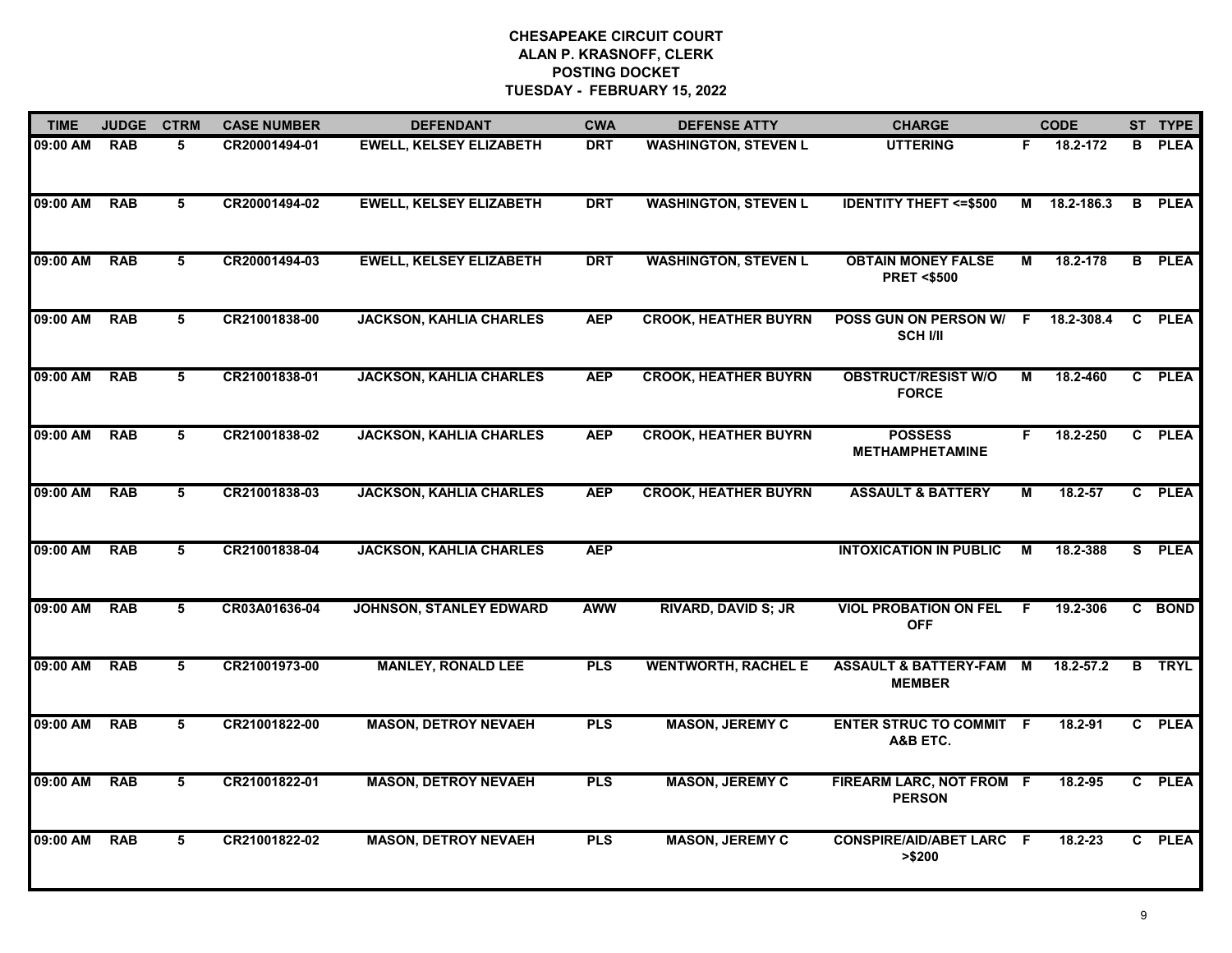| <b>TIME</b> | <b>JUDGE</b> | <b>CTRM</b> | <b>CASE NUMBER</b> | <b>DEFENDANT</b>               | <b>CWA</b> | <b>DEFENSE ATTY</b>         | <b>CHARGE</b>                                      |    | <b>CODE</b> | ST TYPE       |
|-------------|--------------|-------------|--------------------|--------------------------------|------------|-----------------------------|----------------------------------------------------|----|-------------|---------------|
| 09:00 AM    | <b>RAB</b>   | 5           | CR20001494-01      | <b>EWELL, KELSEY ELIZABETH</b> | <b>DRT</b> | <b>WASHINGTON, STEVEN L</b> | <b>UTTERING</b>                                    | F. | 18.2-172    | <b>B</b> PLEA |
| 09:00 AM    | <b>RAB</b>   | 5           | CR20001494-02      | <b>EWELL, KELSEY ELIZABETH</b> | <b>DRT</b> | <b>WASHINGTON, STEVEN L</b> | <b>IDENTITY THEFT &lt;= \$500</b>                  | М  | 18.2-186.3  | <b>B</b> PLEA |
| 09:00 AM    | <b>RAB</b>   | 5           | CR20001494-03      | <b>EWELL, KELSEY ELIZABETH</b> | <b>DRT</b> | <b>WASHINGTON, STEVEN L</b> | <b>OBTAIN MONEY FALSE</b><br><b>PRET &lt;\$500</b> | М  | 18.2-178    | <b>B</b> PLEA |
| 09:00 AM    | <b>RAB</b>   | 5           | CR21001838-00      | <b>JACKSON, KAHLIA CHARLES</b> | <b>AEP</b> | <b>CROOK, HEATHER BUYRN</b> | POSS GUN ON PERSON W/<br><b>SCH I/II</b>           | F. | 18.2-308.4  | C PLEA        |
| 09:00 AM    | <b>RAB</b>   | 5           | CR21001838-01      | <b>JACKSON, KAHLIA CHARLES</b> | <b>AEP</b> | <b>CROOK, HEATHER BUYRN</b> | <b>OBSTRUCT/RESIST W/O</b><br><b>FORCE</b>         | М  | 18.2-460    | C PLEA        |
| 09:00 AM    | <b>RAB</b>   | 5           | CR21001838-02      | <b>JACKSON, KAHLIA CHARLES</b> | <b>AEP</b> | <b>CROOK, HEATHER BUYRN</b> | <b>POSSESS</b><br><b>METHAMPHETAMINE</b>           | F. | 18.2-250    | C PLEA        |
| 09:00 AM    | <b>RAB</b>   | 5           | CR21001838-03      | <b>JACKSON, KAHLIA CHARLES</b> | <b>AEP</b> | <b>CROOK, HEATHER BUYRN</b> | <b>ASSAULT &amp; BATTERY</b>                       | М  | 18.2-57     | C PLEA        |
| 09:00 AM    | <b>RAB</b>   | 5           | CR21001838-04      | <b>JACKSON, KAHLIA CHARLES</b> | <b>AEP</b> |                             | <b>INTOXICATION IN PUBLIC</b>                      | М  | 18.2-388    | S PLEA        |
| 09:00 AM    | <b>RAB</b>   | 5           | CR03A01636-04      | <b>JOHNSON, STANLEY EDWARD</b> | <b>AWW</b> | <b>RIVARD, DAVID S; JR</b>  | <b>VIOL PROBATION ON FEL</b><br><b>OFF</b>         | F. | 19.2-306    | C BOND        |
| 09:00 AM    | <b>RAB</b>   | 5           | CR21001973-00      | <b>MANLEY, RONALD LEE</b>      | <b>PLS</b> | <b>WENTWORTH, RACHEL E</b>  | ASSAULT & BATTERY-FAM M<br><b>MEMBER</b>           |    | 18.2-57.2   | <b>B</b> TRYL |
| 09:00 AM    | <b>RAB</b>   | 5           | CR21001822-00      | <b>MASON, DETROY NEVAEH</b>    | <b>PLS</b> | <b>MASON, JEREMY C</b>      | <b>ENTER STRUC TO COMMIT F</b><br>A&B ETC.         |    | 18.2-91     | C PLEA        |
| 09:00 AM    | <b>RAB</b>   | 5           | CR21001822-01      | <b>MASON, DETROY NEVAEH</b>    | <b>PLS</b> | <b>MASON, JEREMY C</b>      | FIREARM LARC, NOT FROM F<br><b>PERSON</b>          |    | 18.2-95     | C PLEA        |
| 09:00 AM    | <b>RAB</b>   | 5           | CR21001822-02      | <b>MASON, DETROY NEVAEH</b>    | <b>PLS</b> | <b>MASON, JEREMY C</b>      | <b>CONSPIRE/AID/ABET LARC F</b><br>> \$200         |    | 18.2-23     | C PLEA        |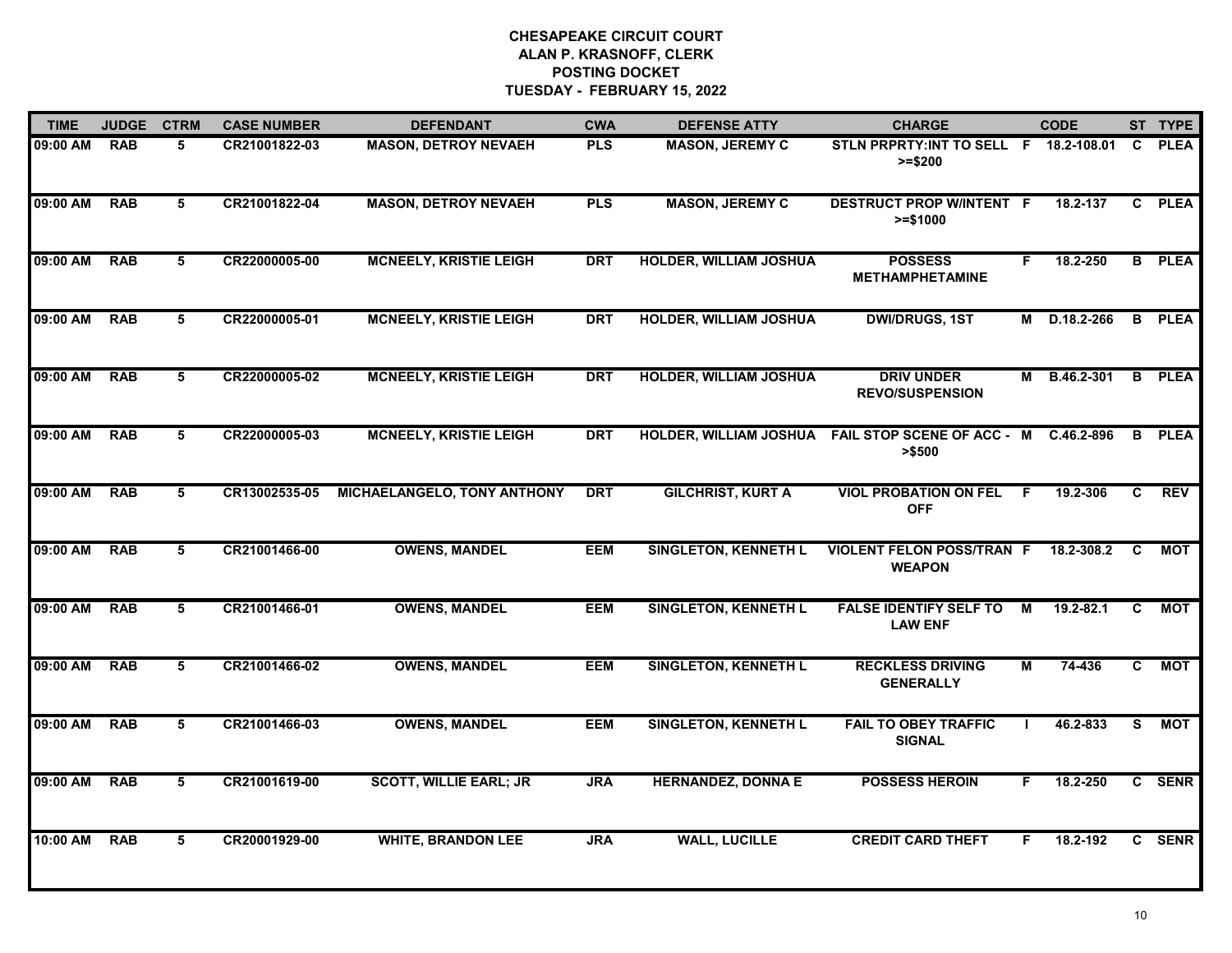| <b>TIME</b> | <b>JUDGE</b> | <b>CTRM</b> | <b>CASE NUMBER</b> | <b>DEFENDANT</b>              | <b>CWA</b> | <b>DEFENSE ATTY</b>           | <b>CHARGE</b>                                       |     | <b>CODE</b>  |              | ST TYPE       |
|-------------|--------------|-------------|--------------------|-------------------------------|------------|-------------------------------|-----------------------------------------------------|-----|--------------|--------------|---------------|
| 09:00 AM    | <b>RAB</b>   | 5           | CR21001822-03      | <b>MASON, DETROY NEVAEH</b>   | <b>PLS</b> | <b>MASON, JEREMY C</b>        | STLN PRPRTY: INT TO SELL F 18.2-108.01<br>$>= $200$ |     |              | C.           | <b>PLEA</b>   |
| 09:00 AM    | <b>RAB</b>   | 5           | CR21001822-04      | <b>MASON, DETROY NEVAEH</b>   | <b>PLS</b> | <b>MASON, JEREMY C</b>        | <b>DESTRUCT PROP W/INTENT F</b><br>$>= $1000$       |     | 18.2-137     | C            | <b>PLEA</b>   |
| 09:00 AM    | <b>RAB</b>   | 5           | CR22000005-00      | <b>MCNEELY, KRISTIE LEIGH</b> | <b>DRT</b> | <b>HOLDER, WILLIAM JOSHUA</b> | <b>POSSESS</b><br><b>METHAMPHETAMINE</b>            | F.  | 18.2-250     |              | <b>B</b> PLEA |
| 09:00 AM    | <b>RAB</b>   | 5           | CR22000005-01      | <b>MCNEELY, KRISTIE LEIGH</b> | <b>DRT</b> | <b>HOLDER, WILLIAM JOSHUA</b> | <b>DWI/DRUGS, 1ST</b>                               |     | M D.18.2-266 | B            | <b>PLEA</b>   |
| 09:00 AM    | RAB          | 5           | CR22000005-02      | <b>MCNEELY, KRISTIE LEIGH</b> | <b>DRT</b> | <b>HOLDER, WILLIAM JOSHUA</b> | <b>DRIV UNDER</b><br><b>REVO/SUSPENSION</b>         |     | M B.46.2-301 | B            | <b>PLEA</b>   |
| 09:00 AM    | <b>RAB</b>   | 5           | CR22000005-03      | <b>MCNEELY, KRISTIE LEIGH</b> | <b>DRT</b> | HOLDER, WILLIAM JOSHUA        | <b>FAIL STOP SCENE OF ACC - M</b><br>>\$500         |     | C.46.2-896   | В            | <b>PLEA</b>   |
| 09:00 AM    | <b>RAB</b>   | 5           | CR13002535-05      | MICHAELANGELO, TONY ANTHONY   | <b>DRT</b> | <b>GILCHRIST, KURT A</b>      | <b>VIOL PROBATION ON FEL</b><br><b>OFF</b>          | - F | 19.2-306     | C.           | <b>REV</b>    |
| 09:00 AM    | <b>RAB</b>   | 5           | CR21001466-00      | <b>OWENS, MANDEL</b>          | <b>EEM</b> | <b>SINGLETON, KENNETH L</b>   | <b>VIOLENT FELON POSS/TRAN F</b><br><b>WEAPON</b>   |     | 18.2-308.2   | C            | MOT           |
| 09:00 AM    | <b>RAB</b>   | 5           | CR21001466-01      | <b>OWENS, MANDEL</b>          | <b>EEM</b> | <b>SINGLETON, KENNETH L</b>   | <b>FALSE IDENTIFY SELF TO</b><br><b>LAW ENF</b>     | M   | 19.2-82.1    | C.           | MOT           |
| 09:00 AM    | <b>RAB</b>   | 5           | CR21001466-02      | <b>OWENS, MANDEL</b>          | <b>EEM</b> | <b>SINGLETON, KENNETH L</b>   | <b>RECKLESS DRIVING</b><br><b>GENERALLY</b>         | M   | 74-436       | C            | <b>MOT</b>    |
| 09:00 AM    | <b>RAB</b>   | 5           | CR21001466-03      | <b>OWENS, MANDEL</b>          | <b>EEM</b> | <b>SINGLETON, KENNETH L</b>   | <b>FAIL TO OBEY TRAFFIC</b><br><b>SIGNAL</b>        |     | 46.2-833     | S.           | <b>MOT</b>    |
| 09:00 AM    | <b>RAB</b>   | 5           | CR21001619-00      | <b>SCOTT, WILLIE EARL; JR</b> | <b>JRA</b> | <b>HERNANDEZ, DONNA E</b>     | <b>POSSESS HEROIN</b>                               | F.  | 18.2-250     |              | C SENR        |
| 10:00 AM    | <b>RAB</b>   | 5           | CR20001929-00      | <b>WHITE, BRANDON LEE</b>     | <b>JRA</b> | <b>WALL, LUCILLE</b>          | <b>CREDIT CARD THEFT</b>                            | F.  | 18.2-192     | $\mathbf{c}$ | <b>SENR</b>   |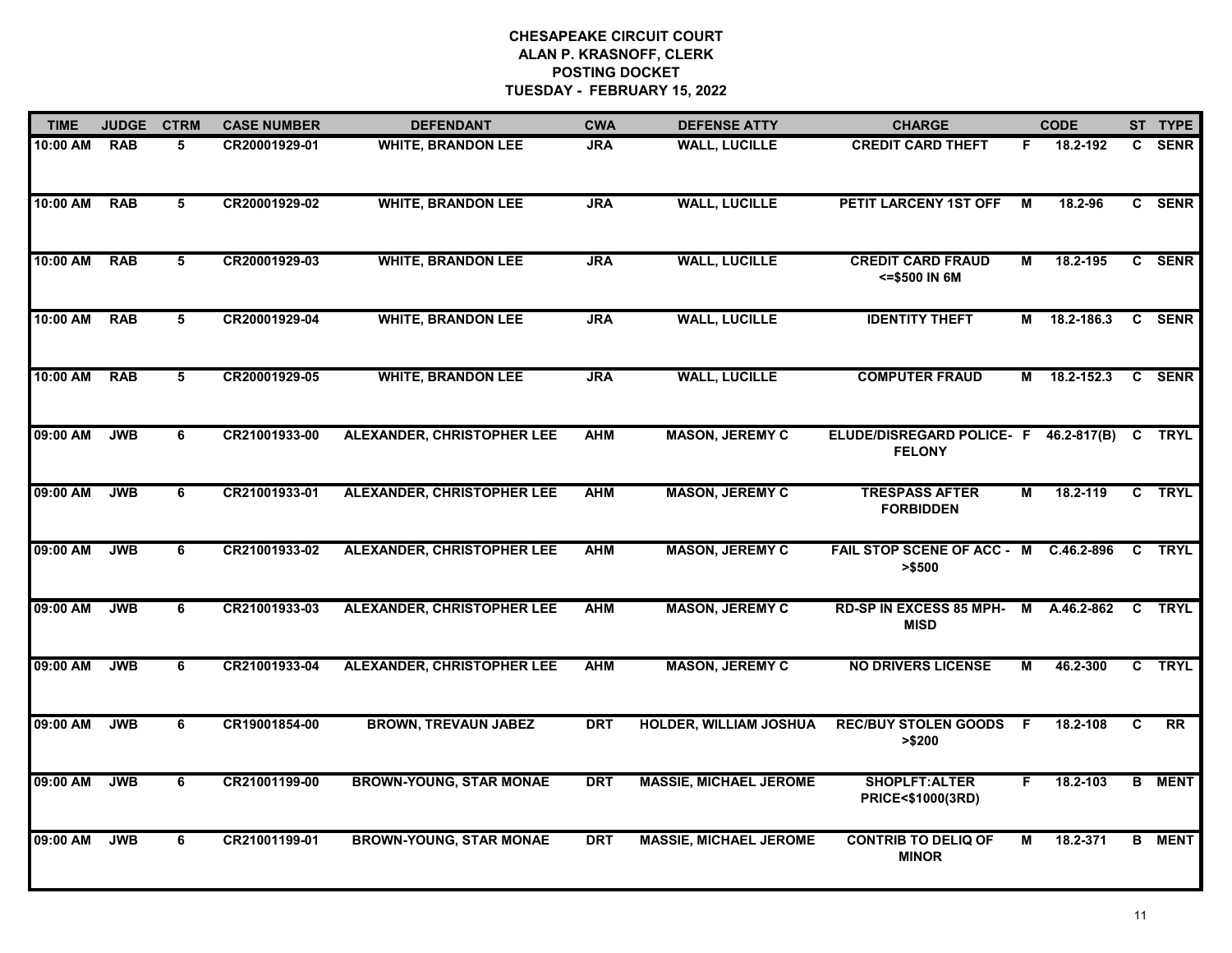| <b>TIME</b> | <b>JUDGE</b> | <b>CTRM</b>    | <b>CASE NUMBER</b> | <b>DEFENDANT</b>                  | <b>CWA</b> | <b>DEFENSE ATTY</b>           | <b>CHARGE</b>                                                 |    | <b>CODE</b>    |    | ST TYPE       |
|-------------|--------------|----------------|--------------------|-----------------------------------|------------|-------------------------------|---------------------------------------------------------------|----|----------------|----|---------------|
| 10:00 AM    | <b>RAB</b>   | 5              | CR20001929-01      | <b>WHITE, BRANDON LEE</b>         | <b>JRA</b> | <b>WALL, LUCILLE</b>          | <b>CREDIT CARD THEFT</b>                                      | F. | 18.2-192       | C. | <b>SENR</b>   |
| 10:00 AM    | <b>RAB</b>   | 5              | CR20001929-02      | <b>WHITE, BRANDON LEE</b>         | <b>JRA</b> | <b>WALL, LUCILLE</b>          | <b>PETIT LARCENY 1ST OFF</b>                                  | м  | 18.2-96        |    | C SENR        |
| 10:00 AM    | <b>RAB</b>   | $\overline{5}$ | CR20001929-03      | <b>WHITE, BRANDON LEE</b>         | <b>JRA</b> | <b>WALL, LUCILLE</b>          | <b>CREDIT CARD FRAUD</b><br><= \$500 IN 6M                    | М  | 18.2-195       |    | C SENR        |
| 10:00 AM    | <b>RAB</b>   | 5              | CR20001929-04      | <b>WHITE, BRANDON LEE</b>         | <b>JRA</b> | <b>WALL, LUCILLE</b>          | <b>IDENTITY THEFT</b>                                         |    | M 18.2-186.3   |    | C SENR        |
| 10:00 AM    | <b>RAB</b>   | 5              | CR20001929-05      | <b>WHITE, BRANDON LEE</b>         | <b>JRA</b> | <b>WALL, LUCILLE</b>          | <b>COMPUTER FRAUD</b>                                         |    | M 18.2-152.3   |    | C SENR        |
| 09:00 AM    | <b>JWB</b>   | 6              | CR21001933-00      | ALEXANDER, CHRISTOPHER LEE        | <b>AHM</b> | <b>MASON, JEREMY C</b>        | ELUDE/DISREGARD POLICE- F 46.2-817(B) C TRYL<br><b>FELONY</b> |    |                |    |               |
| 09:00 AM    | <b>JWB</b>   | 6              | CR21001933-01      | ALEXANDER, CHRISTOPHER LEE        | <b>AHM</b> | <b>MASON, JEREMY C</b>        | <b>TRESPASS AFTER</b><br><b>FORBIDDEN</b>                     | М  | 18.2-119       |    | C TRYL        |
| 09:00 AM    | <b>JWB</b>   | 6              | CR21001933-02      | <b>ALEXANDER, CHRISTOPHER LEE</b> | <b>AHM</b> | <b>MASON, JEREMY C</b>        | FAIL STOP SCENE OF ACC - M<br>> \$500                         |    | $C.46.2 - 896$ |    | C TRYL        |
| 09:00 AM    | <b>JWB</b>   | 6              | CR21001933-03      | <b>ALEXANDER, CHRISTOPHER LEE</b> | <b>AHM</b> | <b>MASON, JEREMY C</b>        | <b>RD-SP IN EXCESS 85 MPH-</b><br><b>MISD</b>                 | M  | A.46.2-862     |    | C TRYL        |
| 09:00 AM    | <b>JWB</b>   | 6              | CR21001933-04      | ALEXANDER, CHRISTOPHER LEE        | <b>AHM</b> | <b>MASON, JEREMY C</b>        | <b>NO DRIVERS LICENSE</b>                                     | М  | 46.2-300       |    | C TRYL        |
| 09:00 AM    | <b>JWB</b>   | 6              | CR19001854-00      | <b>BROWN, TREVAUN JABEZ</b>       | <b>DRT</b> | HOLDER, WILLIAM JOSHUA        | <b>REC/BUY STOLEN GOODS F</b><br>> \$200                      |    | 18.2-108       | C  | RR            |
| 09:00 AM    | <b>JWB</b>   | 6              | CR21001199-00      | <b>BROWN-YOUNG, STAR MONAE</b>    | <b>DRT</b> | <b>MASSIE, MICHAEL JEROME</b> | <b>SHOPLFT:ALTER</b><br>PRICE<\$1000(3RD)                     | F. | 18.2-103       |    | <b>B</b> MENT |
| 09:00 AM    | <b>JWB</b>   | 6              | CR21001199-01      | <b>BROWN-YOUNG, STAR MONAE</b>    | <b>DRT</b> | <b>MASSIE, MICHAEL JEROME</b> | <b>CONTRIB TO DELIQ OF</b><br><b>MINOR</b>                    | М  | 18.2-371       |    | <b>B</b> MENT |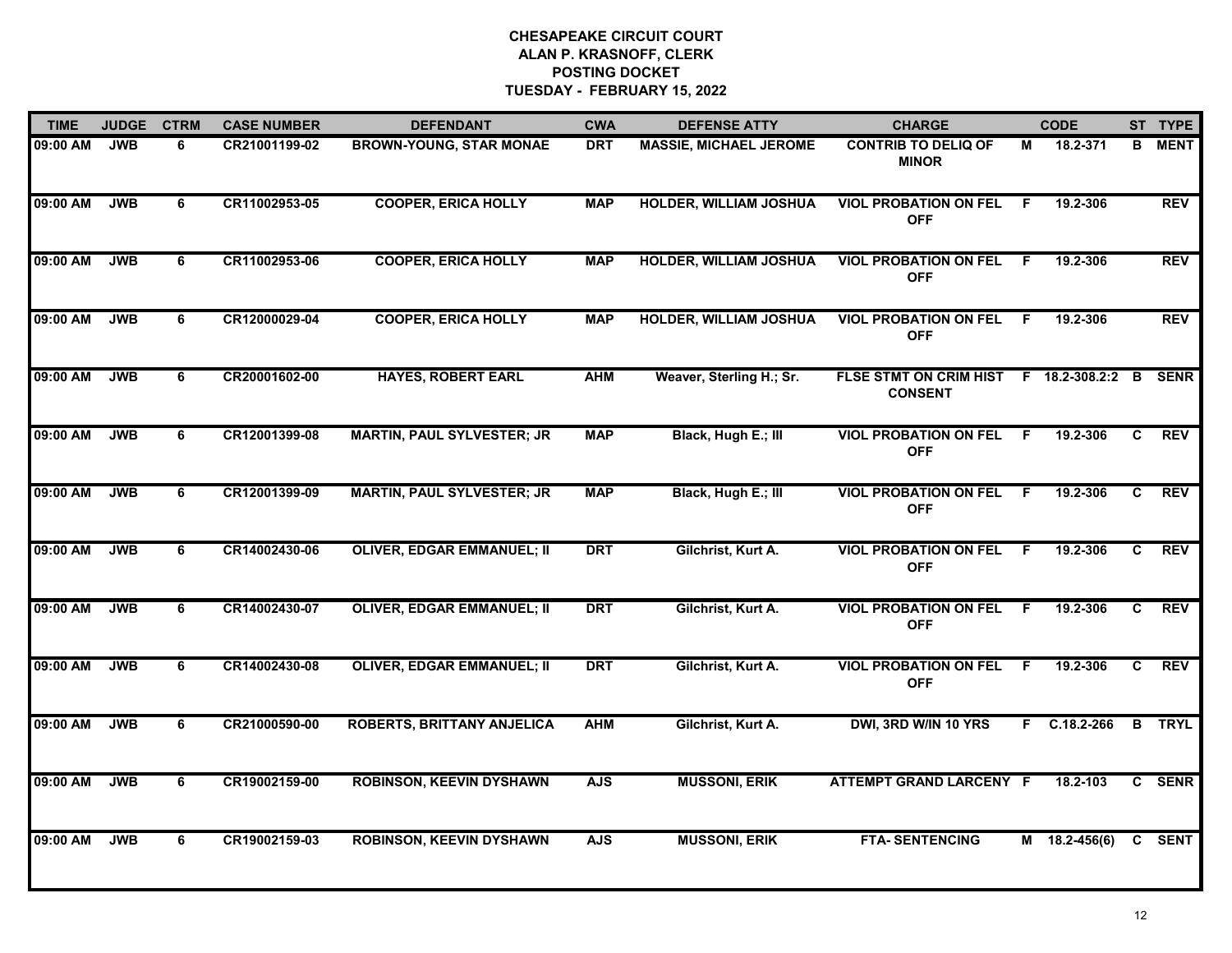| <b>TIME</b> | <b>JUDGE</b> | <b>CTRM</b> | <b>CASE NUMBER</b> | <b>DEFENDANT</b>                  | <b>CWA</b> | <b>DEFENSE ATTY</b>           | <b>CHARGE</b>                                           |    | <b>CODE</b>     |    | ST TYPE     |
|-------------|--------------|-------------|--------------------|-----------------------------------|------------|-------------------------------|---------------------------------------------------------|----|-----------------|----|-------------|
| 09:00 AM    | <b>JWB</b>   | 6           | CR21001199-02      | <b>BROWN-YOUNG, STAR MONAE</b>    | <b>DRT</b> | <b>MASSIE, MICHAEL JEROME</b> | <b>CONTRIB TO DELIQ OF</b><br><b>MINOR</b>              | М  | 18.2-371        | В  | <b>MENT</b> |
| 09:00 AM    | <b>JWB</b>   | 6           | CR11002953-05      | <b>COOPER, ERICA HOLLY</b>        | <b>MAP</b> | <b>HOLDER, WILLIAM JOSHUA</b> | <b>VIOL PROBATION ON FEL</b><br><b>OFF</b>              | F. | 19.2-306        |    | <b>REV</b>  |
| 09:00 AM    | <b>JWB</b>   | 6           | CR11002953-06      | <b>COOPER, ERICA HOLLY</b>        | <b>MAP</b> | HOLDER, WILLIAM JOSHUA        | <b>VIOL PROBATION ON FEL</b><br><b>OFF</b>              | F  | 19.2-306        |    | <b>REV</b>  |
| 09:00 AM    | <b>JWB</b>   | 6           | CR12000029-04      | <b>COOPER, ERICA HOLLY</b>        | <b>MAP</b> | <b>HOLDER, WILLIAM JOSHUA</b> | <b>VIOL PROBATION ON FEL</b><br><b>OFF</b>              | F. | 19.2-306        |    | <b>REV</b>  |
| 09:00 AM    | <b>JWB</b>   | 6           | CR20001602-00      | <b>HAYES, ROBERT EARL</b>         | <b>AHM</b> | Weaver, Sterling H.; Sr.      | FLSE STMT ON CRIM HIST F 18.2-308.2:2<br><b>CONSENT</b> |    |                 | B  | <b>SENR</b> |
| 09:00 AM    | <b>JWB</b>   | 6           | CR12001399-08      | <b>MARTIN, PAUL SYLVESTER; JR</b> | <b>MAP</b> | Black, Hugh E.; III           | <b>VIOL PROBATION ON FEL</b><br><b>OFF</b>              | F. | 19.2-306        | C. | <b>REV</b>  |
| 09:00 AM    | <b>JWB</b>   | 6           | CR12001399-09      | <b>MARTIN, PAUL SYLVESTER; JR</b> | <b>MAP</b> | Black, Hugh E.; III           | <b>VIOL PROBATION ON FEL</b><br><b>OFF</b>              | F. | 19.2-306        | C  | <b>REV</b>  |
| 09:00 AM    | <b>JWB</b>   | 6           | CR14002430-06      | <b>OLIVER, EDGAR EMMANUEL; II</b> | <b>DRT</b> | Gilchrist, Kurt A.            | <b>VIOL PROBATION ON FEL</b><br><b>OFF</b>              | F  | 19.2-306        | C  | <b>REV</b>  |
| 09:00 AM    | <b>JWB</b>   | 6           | CR14002430-07      | <b>OLIVER, EDGAR EMMANUEL; II</b> | <b>DRT</b> | Gilchrist, Kurt A.            | <b>VIOL PROBATION ON FEL</b><br><b>OFF</b>              | F. | 19.2-306        | C. | <b>REV</b>  |
| 09:00 AM    | <b>JWB</b>   | 6           | CR14002430-08      | <b>OLIVER, EDGAR EMMANUEL; II</b> | <b>DRT</b> | Gilchrist, Kurt A.            | <b>VIOL PROBATION ON FEL</b><br><b>OFF</b>              | F. | 19.2-306        | C. | <b>REV</b>  |
| 09:00 AM    | <b>JWB</b>   | 6           | CR21000590-00      | <b>ROBERTS, BRITTANY ANJELICA</b> | <b>AHM</b> | Gilchrist, Kurt A.            | DWI, 3RD W/IN 10 YRS                                    |    | $F$ C.18.2-266  | B  | TRYL        |
| 09:00 AM    | <b>JWB</b>   | 6           | CR19002159-00      | <b>ROBINSON, KEEVIN DYSHAWN</b>   | <b>AJS</b> | <b>MUSSONI, ERIK</b>          | <b>ATTEMPT GRAND LARCENY F</b>                          |    | 18.2-103        |    | C SENR      |
| 09:00 AM    | <b>JWB</b>   | 6           | CR19002159-03      | <b>ROBINSON, KEEVIN DYSHAWN</b>   | <b>AJS</b> | <b>MUSSONI, ERIK</b>          | <b>FTA-SENTENCING</b>                                   |    | $M$ 18.2-456(6) |    | C SENT      |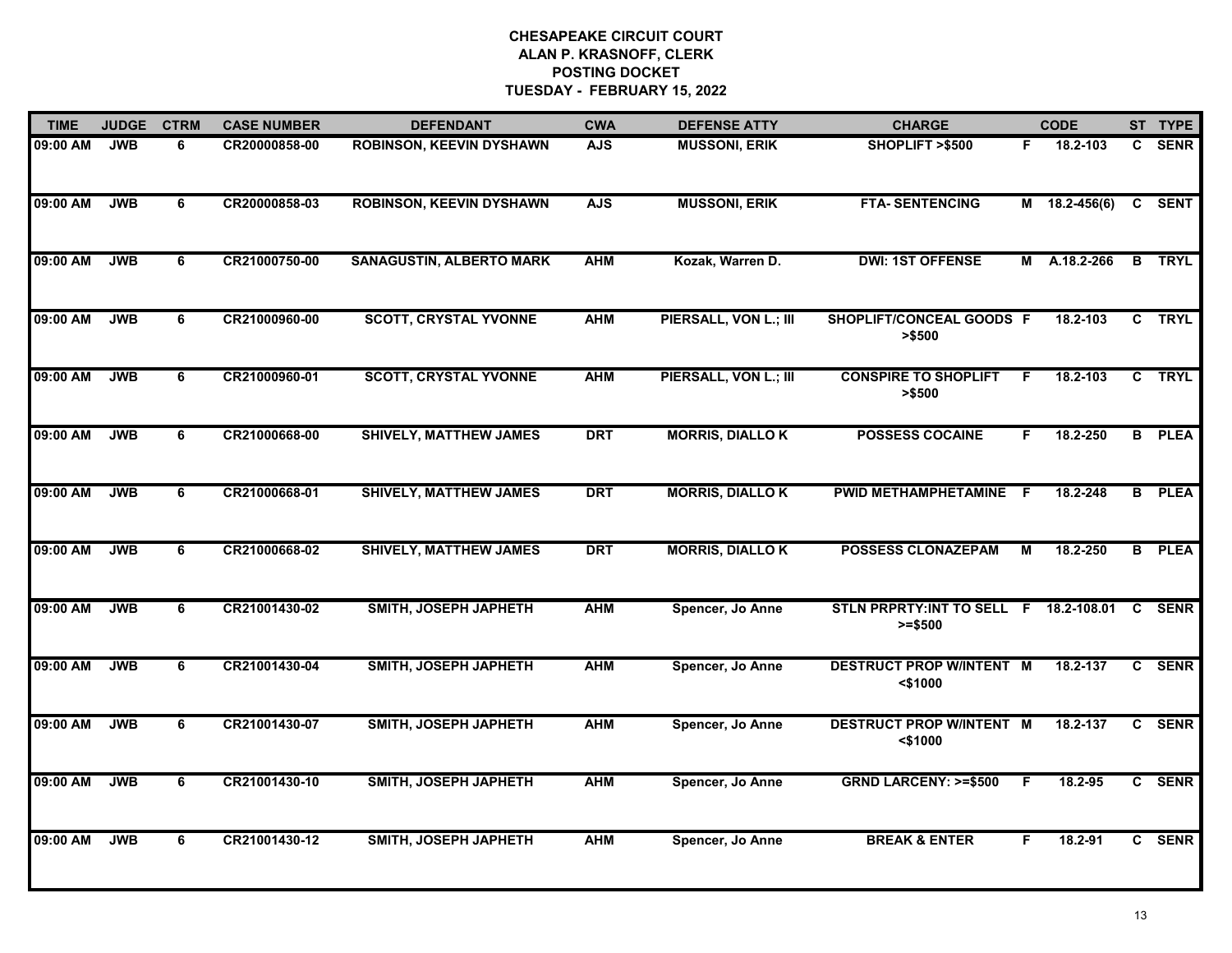| <b>TIME</b> | <b>JUDGE</b> | <b>CTRM</b> | <b>CASE NUMBER</b> | <b>DEFENDANT</b>                | <b>CWA</b> | <b>DEFENSE ATTY</b>    | <b>CHARGE</b>                                       | <b>CODE</b> |               |              | ST TYPE       |
|-------------|--------------|-------------|--------------------|---------------------------------|------------|------------------------|-----------------------------------------------------|-------------|---------------|--------------|---------------|
| 09:00 AM    | <b>JWB</b>   | 6           | CR20000858-00      | <b>ROBINSON, KEEVIN DYSHAWN</b> | <b>AJS</b> | <b>MUSSONI, ERIK</b>   | SHOPLIFT >\$500                                     | F.          | 18.2-103      | C.           | <b>SENR</b>   |
| 09:00 AM    | <b>JWB</b>   | 6           | CR20000858-03      | <b>ROBINSON, KEEVIN DYSHAWN</b> | <b>AJS</b> | <b>MUSSONI, ERIK</b>   | <b>FTA-SENTENCING</b>                               |             | M 18.2-456(6) |              | C SENT        |
| 09:00 AM    | <b>JWB</b>   | 6           | CR21000750-00      | <b>SANAGUSTIN, ALBERTO MARK</b> | <b>AHM</b> | Kozak, Warren D.       | <b>DWI: 1ST OFFENSE</b>                             | М           | A.18.2-266    |              | <b>B</b> TRYL |
| 09:00 AM    | <b>JWB</b>   | 6           | CR21000960-00      | <b>SCOTT, CRYSTAL YVONNE</b>    | <b>AHM</b> | PIERSALL, VON L.; III  | SHOPLIFT/CONCEAL GOODS F<br>> \$500                 |             | 18.2-103      |              | C TRYL        |
| 09:00 AM    | <b>JWB</b>   | 6           | CR21000960-01      | <b>SCOTT, CRYSTAL YVONNE</b>    | <b>AHM</b> | PIERSALL, VON L.; III  | <b>CONSPIRE TO SHOPLIFT</b><br>> \$500              | F.          | 18.2-103      | C            | <b>TRYL</b>   |
| 09:00 AM    | <b>JWB</b>   | 6           | CR21000668-00      | <b>SHIVELY, MATTHEW JAMES</b>   | <b>DRT</b> | <b>MORRIS, DIALLOK</b> | <b>POSSESS COCAINE</b>                              | F           | 18.2-250      |              | <b>B</b> PLEA |
| 09:00 AM    | <b>JWB</b>   | 6           | CR21000668-01      | <b>SHIVELY, MATTHEW JAMES</b>   | <b>DRT</b> | <b>MORRIS, DIALLOK</b> | PWID METHAMPHETAMINE F                              |             | 18.2-248      | B            | <b>PLEA</b>   |
| 09:00 AM    | <b>JWB</b>   | 6           | CR21000668-02      | <b>SHIVELY, MATTHEW JAMES</b>   | <b>DRT</b> | <b>MORRIS, DIALLOK</b> | <b>POSSESS CLONAZEPAM</b>                           | M           | 18.2-250      |              | <b>B</b> PLEA |
| 09:00 AM    | <b>JWB</b>   | 6           | CR21001430-02      | SMITH, JOSEPH JAPHETH           | <b>AHM</b> | Spencer, Jo Anne       | STLN PRPRTY: INT TO SELL F 18.2-108.01<br>$>= $500$ |             |               | C            | <b>SENR</b>   |
| 09:00 AM    | <b>JWB</b>   | 6           | CR21001430-04      | SMITH, JOSEPH JAPHETH           | <b>AHM</b> | Spencer, Jo Anne       | <b>DESTRUCT PROP W/INTENT M</b><br>$<$ \$1000       |             | 18.2-137      | C.           | <b>SENR</b>   |
| 09:00 AM    | <b>JWB</b>   | 6           | CR21001430-07      | SMITH, JOSEPH JAPHETH           | <b>AHM</b> | Spencer, Jo Anne       | <b>DESTRUCT PROP W/INTENT M</b><br>$<$ \$1000       |             | 18.2-137      | $\mathbf{c}$ | <b>SENR</b>   |
| 09:00 AM    | <b>JWB</b>   | 6           | CR21001430-10      | SMITH, JOSEPH JAPHETH           | <b>AHM</b> | Spencer, Jo Anne       | <b>GRND LARCENY: &gt;=\$500</b>                     | -F.         | 18.2-95       |              | C SENR        |
| 09:00 AM    | <b>JWB</b>   | 6           | CR21001430-12      | SMITH, JOSEPH JAPHETH           | <b>AHM</b> | Spencer, Jo Anne       | <b>BREAK &amp; ENTER</b>                            | F.          | 18.2-91       |              | C SENR        |